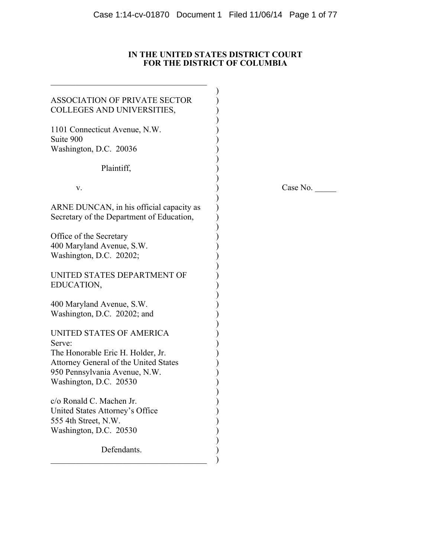# **IN THE UNITED STATES DISTRICT COURT FOR THE DISTRICT OF COLUMBIA**

| <b>ASSOCIATION OF PRIVATE SECTOR</b><br>COLLEGES AND UNIVERSITIES,                                                                    |  |
|---------------------------------------------------------------------------------------------------------------------------------------|--|
| 1101 Connecticut Avenue, N.W.                                                                                                         |  |
| Suite 900<br>Washington, D.C. 20036                                                                                                   |  |
| Plaintiff,                                                                                                                            |  |
| V.                                                                                                                                    |  |
| ARNE DUNCAN, in his official capacity as<br>Secretary of the Department of Education,                                                 |  |
| Office of the Secretary<br>400 Maryland Avenue, S.W.<br>Washington, D.C. 20202;                                                       |  |
| UNITED STATES DEPARTMENT OF<br>EDUCATION,                                                                                             |  |
| 400 Maryland Avenue, S.W.<br>Washington, D.C. 20202; and                                                                              |  |
| UNITED STATES OF AMERICA<br>Serve:                                                                                                    |  |
| The Honorable Eric H. Holder, Jr.<br>Attorney General of the United States<br>950 Pennsylvania Avenue, N.W.<br>Washington, D.C. 20530 |  |
| c/o Ronald C. Machen Jr.<br>United States Attorney's Office<br>555 4th Street, N.W.<br>Washington, D.C. 20530                         |  |
| Defendants.                                                                                                                           |  |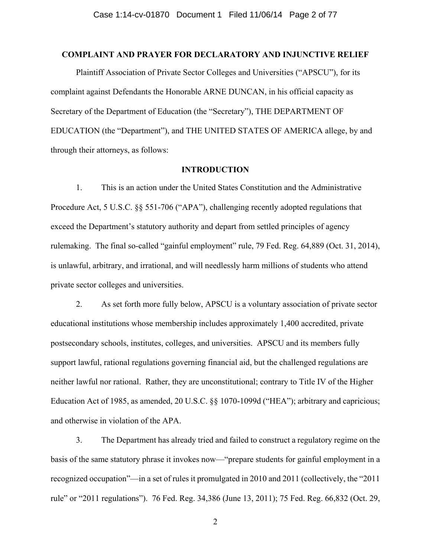## **COMPLAINT AND PRAYER FOR DECLARATORY AND INJUNCTIVE RELIEF**

Plaintiff Association of Private Sector Colleges and Universities ("APSCU"), for its complaint against Defendants the Honorable ARNE DUNCAN, in his official capacity as Secretary of the Department of Education (the "Secretary"), THE DEPARTMENT OF EDUCATION (the "Department"), and THE UNITED STATES OF AMERICA allege, by and through their attorneys, as follows:

## **INTRODUCTION**

1. This is an action under the United States Constitution and the Administrative Procedure Act, 5 U.S.C. §§ 551-706 ("APA"), challenging recently adopted regulations that exceed the Department's statutory authority and depart from settled principles of agency rulemaking. The final so-called "gainful employment" rule, 79 Fed. Reg. 64,889 (Oct. 31, 2014), is unlawful, arbitrary, and irrational, and will needlessly harm millions of students who attend private sector colleges and universities.

2. As set forth more fully below, APSCU is a voluntary association of private sector educational institutions whose membership includes approximately 1,400 accredited, private postsecondary schools, institutes, colleges, and universities. APSCU and its members fully support lawful, rational regulations governing financial aid, but the challenged regulations are neither lawful nor rational. Rather, they are unconstitutional; contrary to Title IV of the Higher Education Act of 1985, as amended, 20 U.S.C. §§ 1070-1099d ("HEA"); arbitrary and capricious; and otherwise in violation of the APA.

3. The Department has already tried and failed to construct a regulatory regime on the basis of the same statutory phrase it invokes now—"prepare students for gainful employment in a recognized occupation"—in a set of rules it promulgated in 2010 and 2011 (collectively, the "2011 rule" or "2011 regulations"). 76 Fed. Reg. 34,386 (June 13, 2011); 75 Fed. Reg. 66,832 (Oct. 29,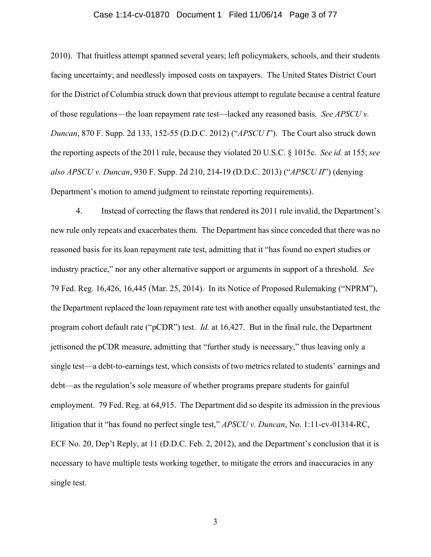## Case 1:14-cv-01870 Document 1 Filed 11/06/14 Page 3 of 77

2010). That fruitless attempt spanned several years; left policymakers, schools, and their students facing uncertainty; and needlessly imposed costs on taxpayers. The United States District Court for the District of Columbia struck down that previous attempt to regulate because a central feature of those regulations—the loan repayment rate test—lacked any reasoned basis. *See APSCU v. Duncan*, 870 F. Supp. 2d 133, 152-55 (D.D.C. 2012) ("*APSCU I*"). The Court also struck down the reporting aspects of the 2011 rule, because they violated 20 U.S.C. § 1015c. *See id.* at 155; *see also APSCU v. Duncan*, 930 F. Supp. 2d 210, 214-19 (D.D.C. 2013) ("*APSCU II*") (denying Department's motion to amend judgment to reinstate reporting requirements).

4. Instead of correcting the flaws that rendered its 2011 rule invalid, the Department's new rule only repeats and exacerbates them. The Department has since conceded that there was no reasoned basis for its loan repayment rate test, admitting that it "has found no expert studies or industry practice," nor any other alternative support or arguments in support of a threshold. *See*  79 Fed. Reg. 16,426, 16,445 (Mar. 25, 2014). In its Notice of Proposed Rulemaking ("NPRM"), the Department replaced the loan repayment rate test with another equally unsubstantiated test, the program cohort default rate ("pCDR") test. *Id.* at 16,427. But in the final rule, the Department jettisoned the pCDR measure, admitting that "further study is necessary," thus leaving only a single test—a debt-to-earnings test, which consists of two metrics related to students' earnings and debt—as the regulation's sole measure of whether programs prepare students for gainful employment. 79 Fed. Reg. at 64,915. The Department did so despite its admission in the previous litigation that it "has found no perfect single test," *APSCU v. Duncan*, No. 1:11-cv-01314-RC, ECF No. 20, Dep't Reply, at 11 (D.D.C. Feb. 2, 2012), and the Department's conclusion that it is necessary to have multiple tests working together, to mitigate the errors and inaccuracies in any single test.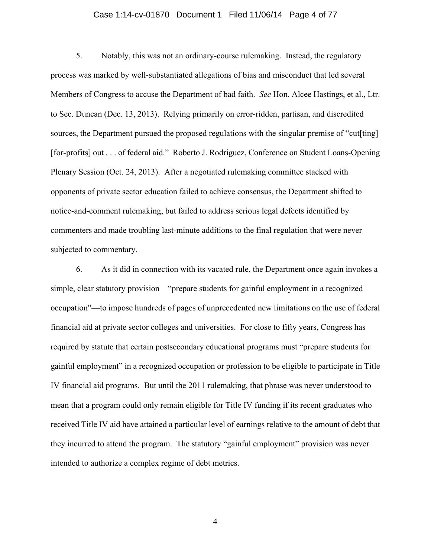## Case 1:14-cv-01870 Document 1 Filed 11/06/14 Page 4 of 77

5. Notably, this was not an ordinary-course rulemaking. Instead, the regulatory process was marked by well-substantiated allegations of bias and misconduct that led several Members of Congress to accuse the Department of bad faith. *See* Hon. Alcee Hastings, et al., Ltr. to Sec. Duncan (Dec. 13, 2013). Relying primarily on error-ridden, partisan, and discredited sources, the Department pursued the proposed regulations with the singular premise of "cut[ting] [for-profits] out . . . of federal aid." Roberto J. Rodriguez, Conference on Student Loans-Opening Plenary Session (Oct. 24, 2013). After a negotiated rulemaking committee stacked with opponents of private sector education failed to achieve consensus, the Department shifted to notice-and-comment rulemaking, but failed to address serious legal defects identified by commenters and made troubling last-minute additions to the final regulation that were never subjected to commentary.

6. As it did in connection with its vacated rule, the Department once again invokes a simple, clear statutory provision—"prepare students for gainful employment in a recognized occupation"—to impose hundreds of pages of unprecedented new limitations on the use of federal financial aid at private sector colleges and universities. For close to fifty years, Congress has required by statute that certain postsecondary educational programs must "prepare students for gainful employment" in a recognized occupation or profession to be eligible to participate in Title IV financial aid programs. But until the 2011 rulemaking, that phrase was never understood to mean that a program could only remain eligible for Title IV funding if its recent graduates who received Title IV aid have attained a particular level of earnings relative to the amount of debt that they incurred to attend the program. The statutory "gainful employment" provision was never intended to authorize a complex regime of debt metrics.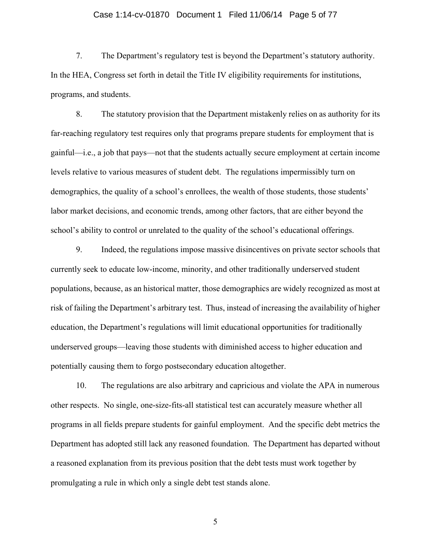## Case 1:14-cv-01870 Document 1 Filed 11/06/14 Page 5 of 77

7. The Department's regulatory test is beyond the Department's statutory authority. In the HEA, Congress set forth in detail the Title IV eligibility requirements for institutions, programs, and students.

8. The statutory provision that the Department mistakenly relies on as authority for its far-reaching regulatory test requires only that programs prepare students for employment that is gainful—i.e., a job that pays—not that the students actually secure employment at certain income levels relative to various measures of student debt. The regulations impermissibly turn on demographics, the quality of a school's enrollees, the wealth of those students, those students' labor market decisions, and economic trends, among other factors, that are either beyond the school's ability to control or unrelated to the quality of the school's educational offerings.

9. Indeed, the regulations impose massive disincentives on private sector schools that currently seek to educate low-income, minority, and other traditionally underserved student populations, because, as an historical matter, those demographics are widely recognized as most at risk of failing the Department's arbitrary test. Thus, instead of increasing the availability of higher education, the Department's regulations will limit educational opportunities for traditionally underserved groups—leaving those students with diminished access to higher education and potentially causing them to forgo postsecondary education altogether.

10. The regulations are also arbitrary and capricious and violate the APA in numerous other respects. No single, one-size-fits-all statistical test can accurately measure whether all programs in all fields prepare students for gainful employment. And the specific debt metrics the Department has adopted still lack any reasoned foundation. The Department has departed without a reasoned explanation from its previous position that the debt tests must work together by promulgating a rule in which only a single debt test stands alone.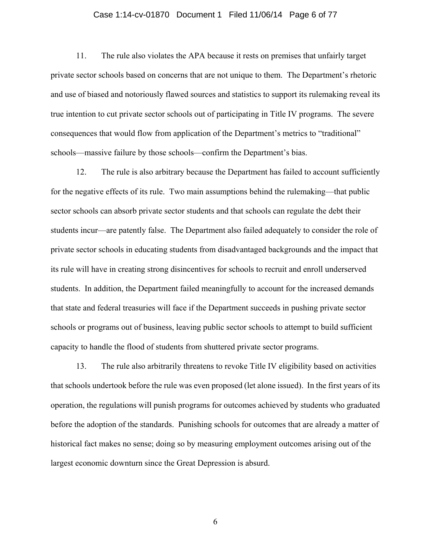## Case 1:14-cv-01870 Document 1 Filed 11/06/14 Page 6 of 77

11. The rule also violates the APA because it rests on premises that unfairly target private sector schools based on concerns that are not unique to them. The Department's rhetoric and use of biased and notoriously flawed sources and statistics to support its rulemaking reveal its true intention to cut private sector schools out of participating in Title IV programs. The severe consequences that would flow from application of the Department's metrics to "traditional" schools—massive failure by those schools—confirm the Department's bias.

12. The rule is also arbitrary because the Department has failed to account sufficiently for the negative effects of its rule. Two main assumptions behind the rulemaking—that public sector schools can absorb private sector students and that schools can regulate the debt their students incur—are patently false. The Department also failed adequately to consider the role of private sector schools in educating students from disadvantaged backgrounds and the impact that its rule will have in creating strong disincentives for schools to recruit and enroll underserved students. In addition, the Department failed meaningfully to account for the increased demands that state and federal treasuries will face if the Department succeeds in pushing private sector schools or programs out of business, leaving public sector schools to attempt to build sufficient capacity to handle the flood of students from shuttered private sector programs.

13. The rule also arbitrarily threatens to revoke Title IV eligibility based on activities that schools undertook before the rule was even proposed (let alone issued). In the first years of its operation, the regulations will punish programs for outcomes achieved by students who graduated before the adoption of the standards. Punishing schools for outcomes that are already a matter of historical fact makes no sense; doing so by measuring employment outcomes arising out of the largest economic downturn since the Great Depression is absurd.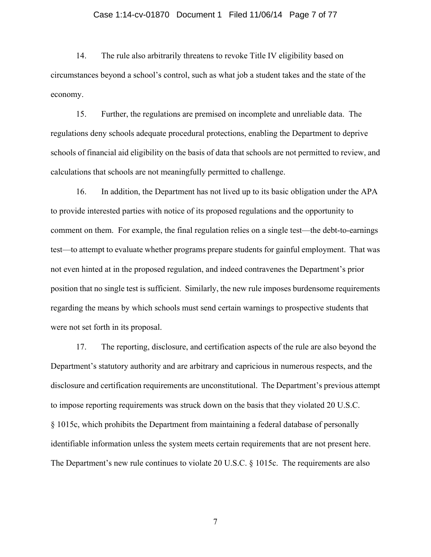## Case 1:14-cv-01870 Document 1 Filed 11/06/14 Page 7 of 77

14. The rule also arbitrarily threatens to revoke Title IV eligibility based on circumstances beyond a school's control, such as what job a student takes and the state of the economy.

15. Further, the regulations are premised on incomplete and unreliable data. The regulations deny schools adequate procedural protections, enabling the Department to deprive schools of financial aid eligibility on the basis of data that schools are not permitted to review, and calculations that schools are not meaningfully permitted to challenge.

16. In addition, the Department has not lived up to its basic obligation under the APA to provide interested parties with notice of its proposed regulations and the opportunity to comment on them. For example, the final regulation relies on a single test—the debt-to-earnings test—to attempt to evaluate whether programs prepare students for gainful employment. That was not even hinted at in the proposed regulation, and indeed contravenes the Department's prior position that no single test is sufficient. Similarly, the new rule imposes burdensome requirements regarding the means by which schools must send certain warnings to prospective students that were not set forth in its proposal.

17. The reporting, disclosure, and certification aspects of the rule are also beyond the Department's statutory authority and are arbitrary and capricious in numerous respects, and the disclosure and certification requirements are unconstitutional. The Department's previous attempt to impose reporting requirements was struck down on the basis that they violated 20 U.S.C. § 1015c, which prohibits the Department from maintaining a federal database of personally identifiable information unless the system meets certain requirements that are not present here. The Department's new rule continues to violate 20 U.S.C. § 1015c. The requirements are also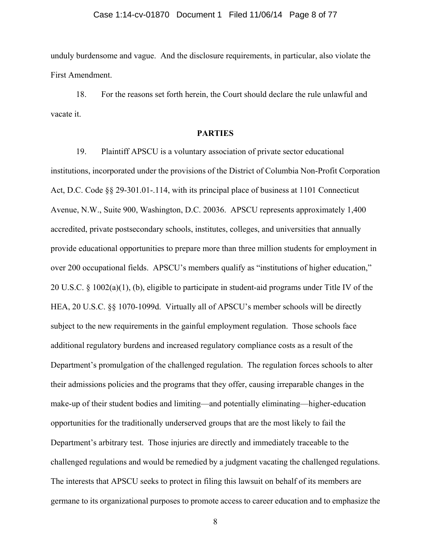## Case 1:14-cv-01870 Document 1 Filed 11/06/14 Page 8 of 77

unduly burdensome and vague. And the disclosure requirements, in particular, also violate the First Amendment.

18. For the reasons set forth herein, the Court should declare the rule unlawful and vacate it.

# **PARTIES**

19. Plaintiff APSCU is a voluntary association of private sector educational institutions, incorporated under the provisions of the District of Columbia Non-Profit Corporation Act, D.C. Code §§ 29-301.01-.114, with its principal place of business at 1101 Connecticut Avenue, N.W., Suite 900, Washington, D.C. 20036. APSCU represents approximately 1,400 accredited, private postsecondary schools, institutes, colleges, and universities that annually provide educational opportunities to prepare more than three million students for employment in over 200 occupational fields. APSCU's members qualify as "institutions of higher education," 20 U.S.C. § 1002(a)(1), (b), eligible to participate in student-aid programs under Title IV of the HEA, 20 U.S.C. §§ 1070-1099d. Virtually all of APSCU's member schools will be directly subject to the new requirements in the gainful employment regulation. Those schools face additional regulatory burdens and increased regulatory compliance costs as a result of the Department's promulgation of the challenged regulation. The regulation forces schools to alter their admissions policies and the programs that they offer, causing irreparable changes in the make-up of their student bodies and limiting—and potentially eliminating—higher-education opportunities for the traditionally underserved groups that are the most likely to fail the Department's arbitrary test. Those injuries are directly and immediately traceable to the challenged regulations and would be remedied by a judgment vacating the challenged regulations. The interests that APSCU seeks to protect in filing this lawsuit on behalf of its members are germane to its organizational purposes to promote access to career education and to emphasize the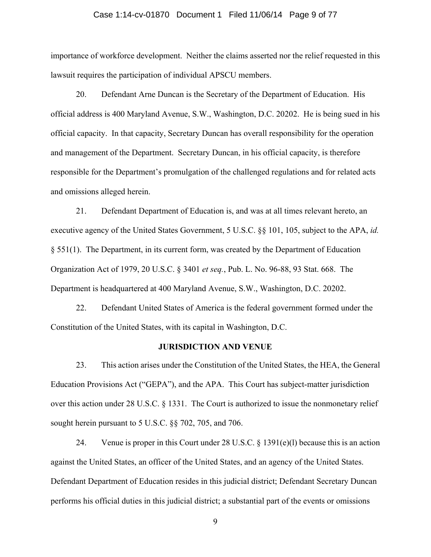## Case 1:14-cv-01870 Document 1 Filed 11/06/14 Page 9 of 77

importance of workforce development. Neither the claims asserted nor the relief requested in this lawsuit requires the participation of individual APSCU members.

20. Defendant Arne Duncan is the Secretary of the Department of Education. His official address is 400 Maryland Avenue, S.W., Washington, D.C. 20202. He is being sued in his official capacity. In that capacity, Secretary Duncan has overall responsibility for the operation and management of the Department. Secretary Duncan, in his official capacity, is therefore responsible for the Department's promulgation of the challenged regulations and for related acts and omissions alleged herein.

21. Defendant Department of Education is, and was at all times relevant hereto, an executive agency of the United States Government, 5 U.S.C. §§ 101, 105, subject to the APA, *id.* § 551(1). The Department, in its current form, was created by the Department of Education Organization Act of 1979, 20 U.S.C. § 3401 *et seq.*, Pub. L. No. 96-88, 93 Stat. 668. The Department is headquartered at 400 Maryland Avenue, S.W., Washington, D.C. 20202.

22. Defendant United States of America is the federal government formed under the Constitution of the United States, with its capital in Washington, D.C.

#### **JURISDICTION AND VENUE**

23. This action arises under the Constitution of the United States, the HEA, the General Education Provisions Act ("GEPA"), and the APA. This Court has subject-matter jurisdiction over this action under 28 U.S.C. § 1331. The Court is authorized to issue the nonmonetary relief sought herein pursuant to 5 U.S.C. §§ 702, 705, and 706.

24. Venue is proper in this Court under 28 U.S.C. § 1391(e)(l) because this is an action against the United States, an officer of the United States, and an agency of the United States. Defendant Department of Education resides in this judicial district; Defendant Secretary Duncan performs his official duties in this judicial district; a substantial part of the events or omissions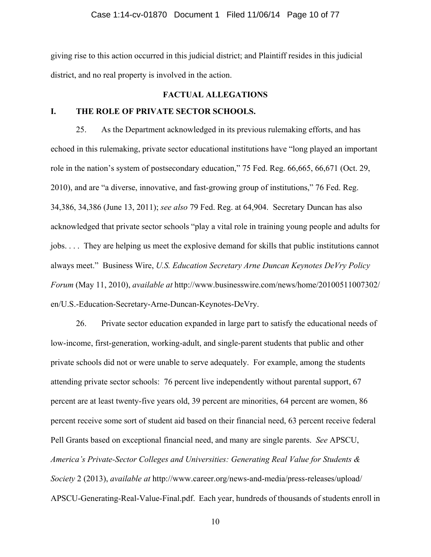giving rise to this action occurred in this judicial district; and Plaintiff resides in this judicial district, and no real property is involved in the action.

# **FACTUAL ALLEGATIONS**

# **I. THE ROLE OF PRIVATE SECTOR SCHOOLS.**

25. As the Department acknowledged in its previous rulemaking efforts, and has echoed in this rulemaking, private sector educational institutions have "long played an important role in the nation's system of postsecondary education," 75 Fed. Reg. 66,665, 66,671 (Oct. 29, 2010), and are "a diverse, innovative, and fast-growing group of institutions," 76 Fed. Reg. 34,386, 34,386 (June 13, 2011); *see also* 79 Fed. Reg. at 64,904. Secretary Duncan has also acknowledged that private sector schools "play a vital role in training young people and adults for jobs. . . . They are helping us meet the explosive demand for skills that public institutions cannot always meet." Business Wire, *U.S. Education Secretary Arne Duncan Keynotes DeVry Policy Forum* (May 11, 2010), *available at* http://www.businesswire.com/news/home/20100511007302/ en/U.S.-Education-Secretary-Arne-Duncan-Keynotes-DeVry.

26. Private sector education expanded in large part to satisfy the educational needs of low-income, first-generation, working-adult, and single-parent students that public and other private schools did not or were unable to serve adequately. For example, among the students attending private sector schools: 76 percent live independently without parental support, 67 percent are at least twenty-five years old, 39 percent are minorities, 64 percent are women, 86 percent receive some sort of student aid based on their financial need, 63 percent receive federal Pell Grants based on exceptional financial need, and many are single parents. *See* APSCU, *America's Private-Sector Colleges and Universities: Generating Real Value for Students & Society* 2 (2013), *available at* http://www.career.org/news-and-media/press-releases/upload/ APSCU-Generating-Real-Value-Final.pdf. Each year, hundreds of thousands of students enroll in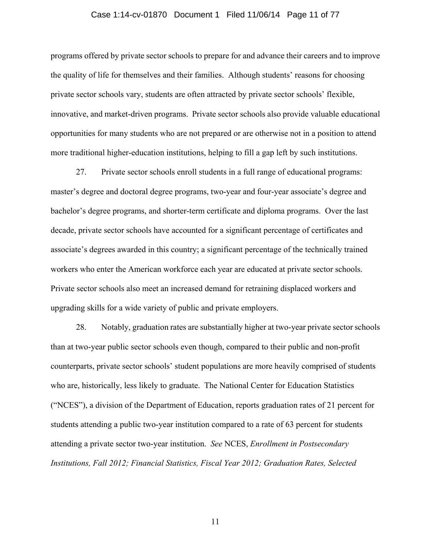## Case 1:14-cv-01870 Document 1 Filed 11/06/14 Page 11 of 77

programs offered by private sector schools to prepare for and advance their careers and to improve the quality of life for themselves and their families. Although students' reasons for choosing private sector schools vary, students are often attracted by private sector schools' flexible, innovative, and market-driven programs. Private sector schools also provide valuable educational opportunities for many students who are not prepared or are otherwise not in a position to attend more traditional higher-education institutions, helping to fill a gap left by such institutions.

27. Private sector schools enroll students in a full range of educational programs: master's degree and doctoral degree programs, two-year and four-year associate's degree and bachelor's degree programs, and shorter-term certificate and diploma programs. Over the last decade, private sector schools have accounted for a significant percentage of certificates and associate's degrees awarded in this country; a significant percentage of the technically trained workers who enter the American workforce each year are educated at private sector schools. Private sector schools also meet an increased demand for retraining displaced workers and upgrading skills for a wide variety of public and private employers.

28. Notably, graduation rates are substantially higher at two-year private sector schools than at two-year public sector schools even though, compared to their public and non-profit counterparts, private sector schools' student populations are more heavily comprised of students who are, historically, less likely to graduate. The National Center for Education Statistics ("NCES"), a division of the Department of Education, reports graduation rates of 21 percent for students attending a public two-year institution compared to a rate of 63 percent for students attending a private sector two-year institution. *See* NCES, *Enrollment in Postsecondary Institutions, Fall 2012; Financial Statistics, Fiscal Year 2012; Graduation Rates, Selected*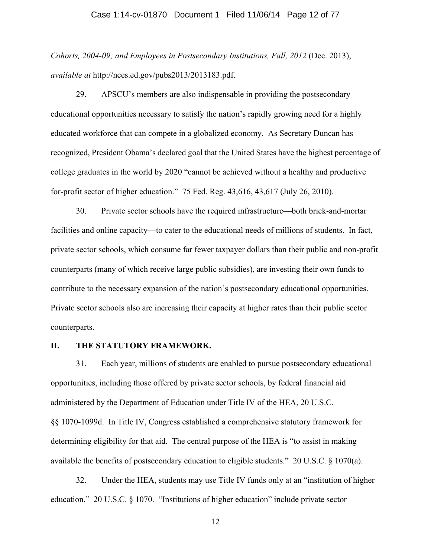## Case 1:14-cv-01870 Document 1 Filed 11/06/14 Page 12 of 77

*Cohorts, 2004-09; and Employees in Postsecondary Institutions, Fall, 2012* (Dec. 2013), *available at* http://nces.ed.gov/pubs2013/2013183.pdf.

29. APSCU's members are also indispensable in providing the postsecondary educational opportunities necessary to satisfy the nation's rapidly growing need for a highly educated workforce that can compete in a globalized economy. As Secretary Duncan has recognized, President Obama's declared goal that the United States have the highest percentage of college graduates in the world by 2020 "cannot be achieved without a healthy and productive for-profit sector of higher education." 75 Fed. Reg. 43,616, 43,617 (July 26, 2010).

30. Private sector schools have the required infrastructure—both brick-and-mortar facilities and online capacity—to cater to the educational needs of millions of students. In fact, private sector schools, which consume far fewer taxpayer dollars than their public and non-profit counterparts (many of which receive large public subsidies), are investing their own funds to contribute to the necessary expansion of the nation's postsecondary educational opportunities. Private sector schools also are increasing their capacity at higher rates than their public sector counterparts.

# **II. THE STATUTORY FRAMEWORK.**

31. Each year, millions of students are enabled to pursue postsecondary educational opportunities, including those offered by private sector schools, by federal financial aid administered by the Department of Education under Title IV of the HEA, 20 U.S.C. §§ 1070-1099d. In Title IV, Congress established a comprehensive statutory framework for determining eligibility for that aid. The central purpose of the HEA is "to assist in making available the benefits of postsecondary education to eligible students." 20 U.S.C. § 1070(a).

32. Under the HEA, students may use Title IV funds only at an "institution of higher education." 20 U.S.C. § 1070. "Institutions of higher education" include private sector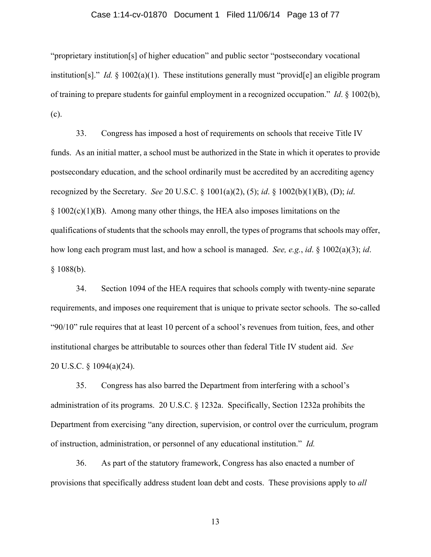## Case 1:14-cv-01870 Document 1 Filed 11/06/14 Page 13 of 77

"proprietary institution[s] of higher education" and public sector "postsecondary vocational institution[s]." *Id.* § 1002(a)(1). These institutions generally must "provid[e] an eligible program of training to prepare students for gainful employment in a recognized occupation." *Id*. § 1002(b), (c).

33. Congress has imposed a host of requirements on schools that receive Title IV funds. As an initial matter, a school must be authorized in the State in which it operates to provide postsecondary education, and the school ordinarily must be accredited by an accrediting agency recognized by the Secretary. *See* 20 U.S.C. § 1001(a)(2), (5); *id*. § 1002(b)(1)(B), (D); *id*. § 1002(c)(1)(B). Among many other things, the HEA also imposes limitations on the qualifications of students that the schools may enroll, the types of programs that schools may offer, how long each program must last, and how a school is managed. *See, e.g.*, *id*. § 1002(a)(3); *id*.  $§ 1088(b).$ 

34. Section 1094 of the HEA requires that schools comply with twenty-nine separate requirements, and imposes one requirement that is unique to private sector schools. The so-called "90/10" rule requires that at least 10 percent of a school's revenues from tuition, fees, and other institutional charges be attributable to sources other than federal Title IV student aid. *See*  20 U.S.C. § 1094(a)(24).

35. Congress has also barred the Department from interfering with a school's administration of its programs. 20 U.S.C. § 1232a. Specifically, Section 1232a prohibits the Department from exercising "any direction, supervision, or control over the curriculum, program of instruction, administration, or personnel of any educational institution." *Id.*

36. As part of the statutory framework, Congress has also enacted a number of provisions that specifically address student loan debt and costs. These provisions apply to *all*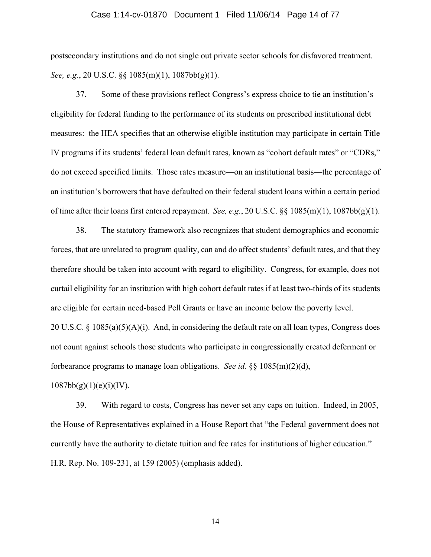## Case 1:14-cv-01870 Document 1 Filed 11/06/14 Page 14 of 77

postsecondary institutions and do not single out private sector schools for disfavored treatment. *See, e.g.*, 20 U.S.C. §§ 1085(m)(1), 1087bb(g)(1).

37. Some of these provisions reflect Congress's express choice to tie an institution's eligibility for federal funding to the performance of its students on prescribed institutional debt measures: the HEA specifies that an otherwise eligible institution may participate in certain Title IV programs if its students' federal loan default rates, known as "cohort default rates" or "CDRs," do not exceed specified limits. Those rates measure—on an institutional basis—the percentage of an institution's borrowers that have defaulted on their federal student loans within a certain period of time after their loans first entered repayment. *See, e.g.*, 20 U.S.C. §§ 1085(m)(1), 1087bb(g)(1).

38. The statutory framework also recognizes that student demographics and economic forces, that are unrelated to program quality, can and do affect students' default rates, and that they therefore should be taken into account with regard to eligibility. Congress, for example, does not curtail eligibility for an institution with high cohort default rates if at least two-thirds of its students are eligible for certain need-based Pell Grants or have an income below the poverty level. 20 U.S.C.  $\S$  1085(a)(5)(A)(i). And, in considering the default rate on all loan types, Congress does not count against schools those students who participate in congressionally created deferment or forbearance programs to manage loan obligations. *See id.* §§ 1085(m)(2)(d),

 $1087bb(g)(1)(e)(i)(IV).$ 

39. With regard to costs, Congress has never set any caps on tuition. Indeed, in 2005, the House of Representatives explained in a House Report that "the Federal government does not currently have the authority to dictate tuition and fee rates for institutions of higher education." H.R. Rep. No. 109-231, at 159 (2005) (emphasis added).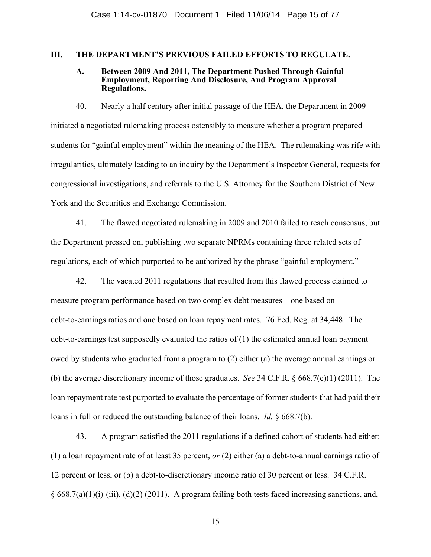# **III. THE DEPARTMENT'S PREVIOUS FAILED EFFORTS TO REGULATE.**

## **A. Between 2009 And 2011, The Department Pushed Through Gainful Employment, Reporting And Disclosure, And Program Approval Regulations.**

40. Nearly a half century after initial passage of the HEA, the Department in 2009 initiated a negotiated rulemaking process ostensibly to measure whether a program prepared students for "gainful employment" within the meaning of the HEA. The rulemaking was rife with irregularities, ultimately leading to an inquiry by the Department's Inspector General, requests for congressional investigations, and referrals to the U.S. Attorney for the Southern District of New York and the Securities and Exchange Commission.

41. The flawed negotiated rulemaking in 2009 and 2010 failed to reach consensus, but the Department pressed on, publishing two separate NPRMs containing three related sets of regulations, each of which purported to be authorized by the phrase "gainful employment."

42. The vacated 2011 regulations that resulted from this flawed process claimed to measure program performance based on two complex debt measures—one based on debt-to-earnings ratios and one based on loan repayment rates. 76 Fed. Reg. at 34,448. The debt-to-earnings test supposedly evaluated the ratios of (1) the estimated annual loan payment owed by students who graduated from a program to (2) either (a) the average annual earnings or (b) the average discretionary income of those graduates. *See* 34 C.F.R. § 668.7(c)(1) (2011). The loan repayment rate test purported to evaluate the percentage of former students that had paid their loans in full or reduced the outstanding balance of their loans. *Id.* § 668.7(b).

43. A program satisfied the 2011 regulations if a defined cohort of students had either: (1) a loan repayment rate of at least 35 percent, *or* (2) either (a) a debt-to-annual earnings ratio of 12 percent or less, or (b) a debt-to-discretionary income ratio of 30 percent or less. 34 C.F.R.  $§ 668.7(a)(1)(i)-(iii)$ , (d)(2) (2011). A program failing both tests faced increasing sanctions, and,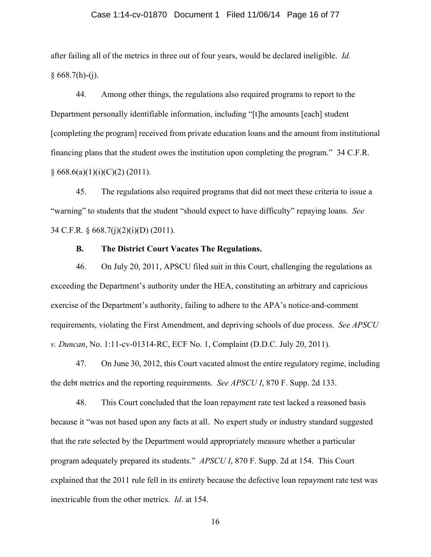## Case 1:14-cv-01870 Document 1 Filed 11/06/14 Page 16 of 77

after failing all of the metrics in three out of four years, would be declared ineligible. *Id.*  $§ 668.7(h)-(j).$ 

44. Among other things, the regulations also required programs to report to the Department personally identifiable information, including "[t]he amounts [each] student [completing the program] received from private education loans and the amount from institutional financing plans that the student owes the institution upon completing the program." 34 C.F.R.  $§ 668.6(a)(1)(i)(C)(2)(2011).$ 

45. The regulations also required programs that did not meet these criteria to issue a "warning" to students that the student "should expect to have difficulty" repaying loans. *See* 34 C.F.R. § 668.7(j)(2)(i)(D) (2011).

## **B. The District Court Vacates The Regulations.**

46. On July 20, 2011, APSCU filed suit in this Court, challenging the regulations as exceeding the Department's authority under the HEA, constituting an arbitrary and capricious exercise of the Department's authority, failing to adhere to the APA's notice-and-comment requirements, violating the First Amendment, and depriving schools of due process. *See APSCU v. Duncan*, No. 1:11-cv-01314-RC, ECF No. 1, Complaint (D.D.C. July 20, 2011).

47. On June 30, 2012, this Court vacated almost the entire regulatory regime, including the debt metrics and the reporting requirements. *See APSCU I*, 870 F. Supp. 2d 133.

48. This Court concluded that the loan repayment rate test lacked a reasoned basis because it "was not based upon any facts at all. No expert study or industry standard suggested that the rate selected by the Department would appropriately measure whether a particular program adequately prepared its students." *APSCU I*, 870 F. Supp. 2d at 154. This Court explained that the 2011 rule fell in its entirety because the defective loan repayment rate test was inextricable from the other metrics. *Id*. at 154.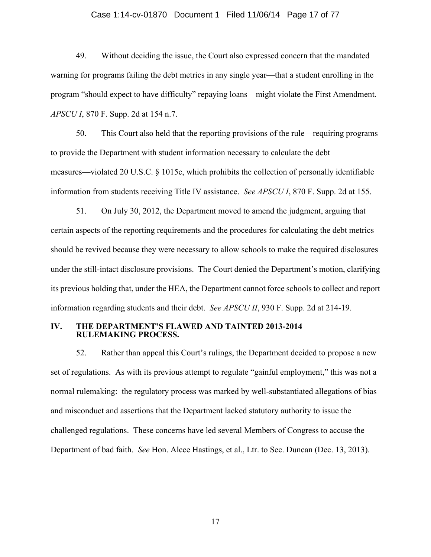## Case 1:14-cv-01870 Document 1 Filed 11/06/14 Page 17 of 77

49. Without deciding the issue, the Court also expressed concern that the mandated warning for programs failing the debt metrics in any single year—that a student enrolling in the program "should expect to have difficulty" repaying loans—might violate the First Amendment. *APSCU I*, 870 F. Supp. 2d at 154 n.7.

50. This Court also held that the reporting provisions of the rule—requiring programs to provide the Department with student information necessary to calculate the debt measures—violated 20 U.S.C. § 1015c, which prohibits the collection of personally identifiable information from students receiving Title IV assistance. *See APSCU I*, 870 F. Supp. 2d at 155.

51. On July 30, 2012, the Department moved to amend the judgment, arguing that certain aspects of the reporting requirements and the procedures for calculating the debt metrics should be revived because they were necessary to allow schools to make the required disclosures under the still-intact disclosure provisions. The Court denied the Department's motion, clarifying its previous holding that, under the HEA, the Department cannot force schools to collect and report information regarding students and their debt. *See APSCU II*, 930 F. Supp. 2d at 214-19.

## **IV. THE DEPARTMENT'S FLAWED AND TAINTED 2013-2014 RULEMAKING PROCESS.**

52. Rather than appeal this Court's rulings, the Department decided to propose a new set of regulations. As with its previous attempt to regulate "gainful employment," this was not a normal rulemaking: the regulatory process was marked by well-substantiated allegations of bias and misconduct and assertions that the Department lacked statutory authority to issue the challenged regulations. These concerns have led several Members of Congress to accuse the Department of bad faith. *See* Hon. Alcee Hastings, et al., Ltr. to Sec. Duncan (Dec. 13, 2013).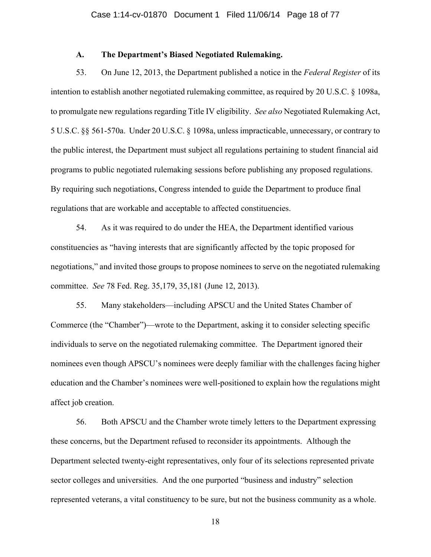# **A. The Department's Biased Negotiated Rulemaking.**

53. On June 12, 2013, the Department published a notice in the *Federal Register* of its intention to establish another negotiated rulemaking committee, as required by 20 U.S.C. § 1098a, to promulgate new regulations regarding Title IV eligibility. *See also* Negotiated Rulemaking Act, 5 U.S.C. §§ 561-570a. Under 20 U.S.C. § 1098a, unless impracticable, unnecessary, or contrary to the public interest, the Department must subject all regulations pertaining to student financial aid programs to public negotiated rulemaking sessions before publishing any proposed regulations. By requiring such negotiations, Congress intended to guide the Department to produce final regulations that are workable and acceptable to affected constituencies.

54. As it was required to do under the HEA, the Department identified various constituencies as "having interests that are significantly affected by the topic proposed for negotiations," and invited those groups to propose nominees to serve on the negotiated rulemaking committee. *See* 78 Fed. Reg. 35,179, 35,181 (June 12, 2013).

55. Many stakeholders—including APSCU and the United States Chamber of Commerce (the "Chamber")—wrote to the Department, asking it to consider selecting specific individuals to serve on the negotiated rulemaking committee. The Department ignored their nominees even though APSCU's nominees were deeply familiar with the challenges facing higher education and the Chamber's nominees were well-positioned to explain how the regulations might affect job creation.

56. Both APSCU and the Chamber wrote timely letters to the Department expressing these concerns, but the Department refused to reconsider its appointments. Although the Department selected twenty-eight representatives, only four of its selections represented private sector colleges and universities. And the one purported "business and industry" selection represented veterans, a vital constituency to be sure, but not the business community as a whole.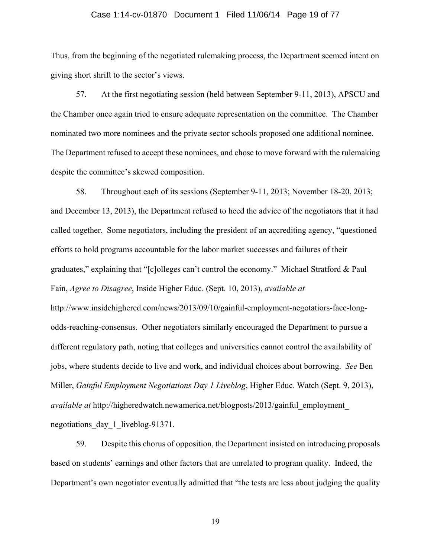### Case 1:14-cv-01870 Document 1 Filed 11/06/14 Page 19 of 77

Thus, from the beginning of the negotiated rulemaking process, the Department seemed intent on giving short shrift to the sector's views.

57. At the first negotiating session (held between September 9-11, 2013), APSCU and the Chamber once again tried to ensure adequate representation on the committee. The Chamber nominated two more nominees and the private sector schools proposed one additional nominee. The Department refused to accept these nominees, and chose to move forward with the rulemaking despite the committee's skewed composition.

58. Throughout each of its sessions (September 9-11, 2013; November 18-20, 2013; and December 13, 2013), the Department refused to heed the advice of the negotiators that it had called together. Some negotiators, including the president of an accrediting agency, "questioned efforts to hold programs accountable for the labor market successes and failures of their graduates," explaining that "[c]olleges can't control the economy." Michael Stratford & Paul Fain, *Agree to Disagree*, Inside Higher Educ. (Sept. 10, 2013), *available at*  http://www.insidehighered.com/news/2013/09/10/gainful-employment-negotatiors-face-longodds-reaching-consensus. Other negotiators similarly encouraged the Department to pursue a different regulatory path, noting that colleges and universities cannot control the availability of jobs, where students decide to live and work, and individual choices about borrowing. *See* Ben Miller, *Gainful Employment Negotiations Day 1 Liveblog*, Higher Educ. Watch (Sept. 9, 2013), *available at http://higheredwatch.newamerica.net/blogposts/2013/gainful employment* negotiations day 1 liveblog-91371.

59. Despite this chorus of opposition, the Department insisted on introducing proposals based on students' earnings and other factors that are unrelated to program quality. Indeed, the Department's own negotiator eventually admitted that "the tests are less about judging the quality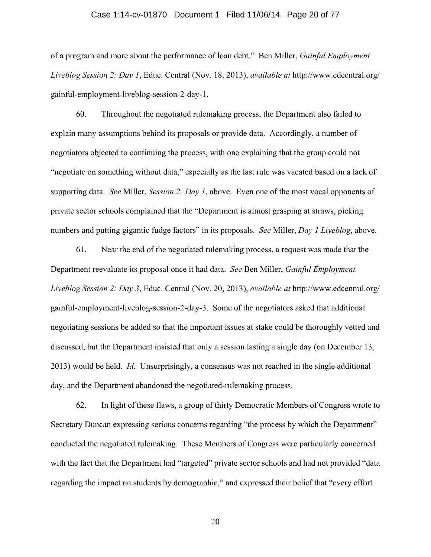## Case 1:14-cv-01870 Document 1 Filed 11/06/14 Page 20 of 77

of a program and more about the performance of loan debt." Ben Miller, *Gainful Employment Liveblog Session 2: Day 1*, Educ. Central (Nov. 18, 2013), *available at* http://www.edcentral.org/ gainful-employment-liveblog-session-2-day-1.

60. Throughout the negotiated rulemaking process, the Department also failed to explain many assumptions behind its proposals or provide data. Accordingly, a number of negotiators objected to continuing the process, with one explaining that the group could not "negotiate on something without data," especially as the last rule was vacated based on a lack of supporting data. *See* Miller, *Session 2: Day 1*, above. Even one of the most vocal opponents of private sector schools complained that the "Department is almost grasping at straws, picking numbers and putting gigantic fudge factors" in its proposals. *See* Miller, *Day 1 Liveblog*, above.

61. Near the end of the negotiated rulemaking process, a request was made that the Department reevaluate its proposal once it had data. *See* Ben Miller, *Gainful Employment Liveblog Session 2: Day 3*, Educ. Central (Nov. 20, 2013), *available at* http://www.edcentral.org/ gainful-employment-liveblog-session-2-day-3. Some of the negotiators asked that additional negotiating sessions be added so that the important issues at stake could be thoroughly vetted and discussed, but the Department insisted that only a session lasting a single day (on December 13, 2013) would be held. *Id.* Unsurprisingly, a consensus was not reached in the single additional day, and the Department abandoned the negotiated-rulemaking process.

62. In light of these flaws, a group of thirty Democratic Members of Congress wrote to Secretary Duncan expressing serious concerns regarding "the process by which the Department" conducted the negotiated rulemaking. These Members of Congress were particularly concerned with the fact that the Department had "targeted" private sector schools and had not provided "data regarding the impact on students by demographic," and expressed their belief that "every effort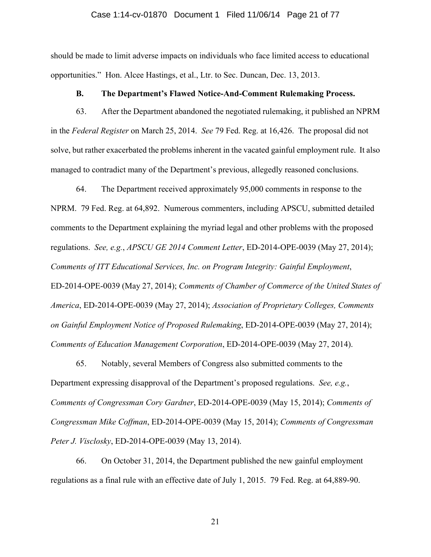#### Case 1:14-cv-01870 Document 1 Filed 11/06/14 Page 21 of 77

should be made to limit adverse impacts on individuals who face limited access to educational opportunities." Hon. Alcee Hastings, et al., Ltr. to Sec. Duncan, Dec. 13, 2013.

## **B. The Department's Flawed Notice-And-Comment Rulemaking Process.**

63. After the Department abandoned the negotiated rulemaking, it published an NPRM in the *Federal Register* on March 25, 2014. *See* 79 Fed. Reg. at 16,426. The proposal did not solve, but rather exacerbated the problems inherent in the vacated gainful employment rule. It also managed to contradict many of the Department's previous, allegedly reasoned conclusions.

64. The Department received approximately 95,000 comments in response to the NPRM. 79 Fed. Reg. at 64,892. Numerous commenters, including APSCU, submitted detailed comments to the Department explaining the myriad legal and other problems with the proposed regulations. *See, e.g.*, *APSCU GE 2014 Comment Letter*, ED-2014-OPE-0039 (May 27, 2014); *Comments of ITT Educational Services, Inc. on Program Integrity: Gainful Employment*, ED-2014-OPE-0039 (May 27, 2014); *Comments of Chamber of Commerce of the United States of America*, ED-2014-OPE-0039 (May 27, 2014); *Association of Proprietary Colleges, Comments on Gainful Employment Notice of Proposed Rulemaking*, ED-2014-OPE-0039 (May 27, 2014); *Comments of Education Management Corporation*, ED-2014-OPE-0039 (May 27, 2014).

65. Notably, several Members of Congress also submitted comments to the Department expressing disapproval of the Department's proposed regulations. *See, e.g.*, *Comments of Congressman Cory Gardner*, ED-2014-OPE-0039 (May 15, 2014); *Comments of Congressman Mike Coffman*, ED-2014-OPE-0039 (May 15, 2014); *Comments of Congressman Peter J. Visclosky*, ED-2014-OPE-0039 (May 13, 2014).

66. On October 31, 2014, the Department published the new gainful employment regulations as a final rule with an effective date of July 1, 2015. 79 Fed. Reg. at 64,889-90.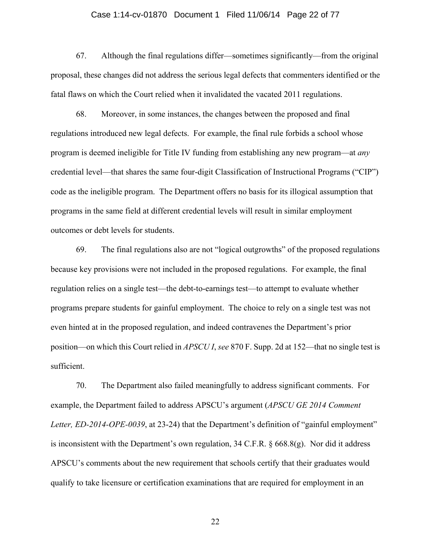## Case 1:14-cv-01870 Document 1 Filed 11/06/14 Page 22 of 77

67. Although the final regulations differ—sometimes significantly—from the original proposal, these changes did not address the serious legal defects that commenters identified or the fatal flaws on which the Court relied when it invalidated the vacated 2011 regulations.

68. Moreover, in some instances, the changes between the proposed and final regulations introduced new legal defects. For example, the final rule forbids a school whose program is deemed ineligible for Title IV funding from establishing any new program—at *any*  credential level—that shares the same four-digit Classification of Instructional Programs ("CIP") code as the ineligible program. The Department offers no basis for its illogical assumption that programs in the same field at different credential levels will result in similar employment outcomes or debt levels for students.

69. The final regulations also are not "logical outgrowths" of the proposed regulations because key provisions were not included in the proposed regulations. For example, the final regulation relies on a single test—the debt-to-earnings test—to attempt to evaluate whether programs prepare students for gainful employment. The choice to rely on a single test was not even hinted at in the proposed regulation, and indeed contravenes the Department's prior position—on which this Court relied in *APSCU I*, *see* 870 F. Supp. 2d at 152—that no single test is sufficient.

70. The Department also failed meaningfully to address significant comments. For example, the Department failed to address APSCU's argument (*APSCU GE 2014 Comment Letter, ED-2014-OPE-0039*, at 23-24) that the Department's definition of "gainful employment" is inconsistent with the Department's own regulation, 34 C.F.R. § 668.8(g). Nor did it address APSCU's comments about the new requirement that schools certify that their graduates would qualify to take licensure or certification examinations that are required for employment in an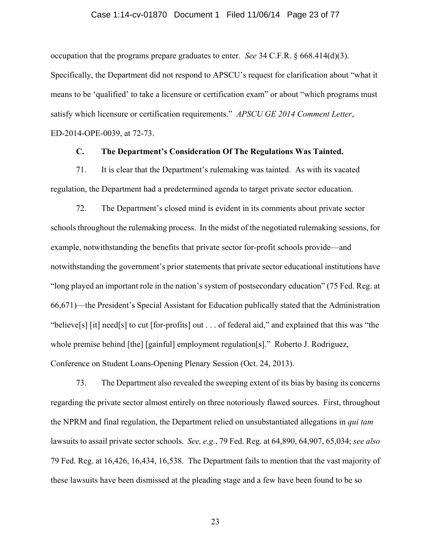## Case 1:14-cv-01870 Document 1 Filed 11/06/14 Page 23 of 77

occupation that the programs prepare graduates to enter. *See* 34 C.F.R. § 668.414(d)(3).

Specifically, the Department did not respond to APSCU's request for clarification about "what it means to be 'qualified' to take a licensure or certification exam" or about "which programs must satisfy which licensure or certification requirements." *APSCU GE 2014 Comment Letter*, ED-2014-OPE-0039, at 72-73.

# **C. The Department's Consideration Of The Regulations Was Tainted.**

71. It is clear that the Department's rulemaking was tainted. As with its vacated regulation, the Department had a predetermined agenda to target private sector education.

72. The Department's closed mind is evident in its comments about private sector schools throughout the rulemaking process. In the midst of the negotiated rulemaking sessions, for example, notwithstanding the benefits that private sector for-profit schools provide—and notwithstanding the government's prior statements that private sector educational institutions have "long played an important role in the nation's system of postsecondary education" (75 Fed. Reg. at 66,671)—the President's Special Assistant for Education publically stated that the Administration "believe[s] [it] need[s] to cut [for-profits] out . . . of federal aid," and explained that this was "the whole premise behind [the] [gainful] employment regulation[s]." Roberto J. Rodriguez, Conference on Student Loans-Opening Plenary Session (Oct. 24, 2013).

73. The Department also revealed the sweeping extent of its bias by basing its concerns regarding the private sector almost entirely on three notoriously flawed sources. First, throughout the NPRM and final regulation, the Department relied on unsubstantiated allegations in *qui tam* lawsuits to assail private sector schools. *See, e.g.*, 79 Fed. Reg. at 64,890, 64,907, 65,034; *see also*  79 Fed. Reg. at 16,426, 16,434, 16,538. The Department fails to mention that the vast majority of these lawsuits have been dismissed at the pleading stage and a few have been found to be so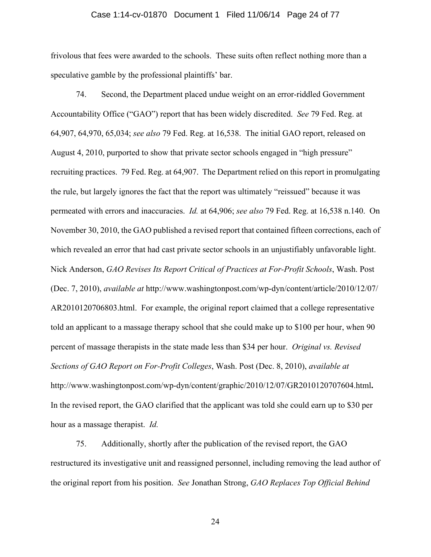## Case 1:14-cv-01870 Document 1 Filed 11/06/14 Page 24 of 77

frivolous that fees were awarded to the schools. These suits often reflect nothing more than a speculative gamble by the professional plaintiffs' bar.

74. Second, the Department placed undue weight on an error-riddled Government Accountability Office ("GAO") report that has been widely discredited. *See* 79 Fed. Reg. at 64,907, 64,970, 65,034; *see also* 79 Fed. Reg. at 16,538. The initial GAO report, released on August 4, 2010, purported to show that private sector schools engaged in "high pressure" recruiting practices. 79 Fed. Reg. at 64,907. The Department relied on this report in promulgating the rule, but largely ignores the fact that the report was ultimately "reissued" because it was permeated with errors and inaccuracies. *Id.* at 64,906; *see also* 79 Fed. Reg. at 16,538 n.140. On November 30, 2010, the GAO published a revised report that contained fifteen corrections, each of which revealed an error that had cast private sector schools in an unjustifiably unfavorable light. Nick Anderson, *GAO Revises Its Report Critical of Practices at For-Profit Schools*, Wash. Post (Dec. 7, 2010), *available at* http://www.washingtonpost.com/wp-dyn/content/article/2010/12/07/ AR2010120706803.html. For example, the original report claimed that a college representative told an applicant to a massage therapy school that she could make up to \$100 per hour, when 90 percent of massage therapists in the state made less than \$34 per hour. *Original vs. Revised Sections of GAO Report on For-Profit Colleges*, Wash. Post (Dec. 8, 2010), *available at* http://www.washingtonpost.com/wp-dyn/content/graphic/2010/12/07/GR2010120707604.html**.**  In the revised report, the GAO clarified that the applicant was told she could earn up to \$30 per hour as a massage therapist. *Id.*

75. Additionally, shortly after the publication of the revised report, the GAO restructured its investigative unit and reassigned personnel, including removing the lead author of the original report from his position. *See* Jonathan Strong, *GAO Replaces Top Official Behind*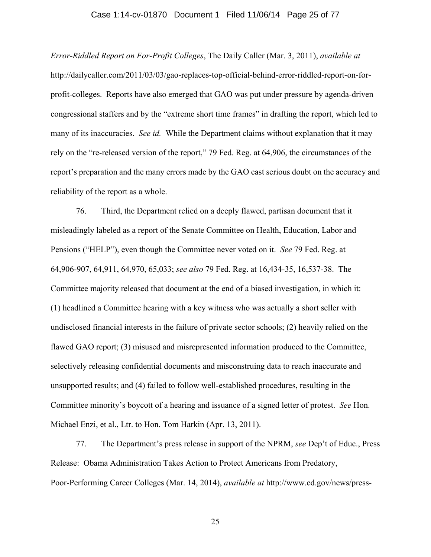## Case 1:14-cv-01870 Document 1 Filed 11/06/14 Page 25 of 77

*Error-Riddled Report on For-Profit Colleges*, The Daily Caller (Mar. 3, 2011), *available at*  http://dailycaller.com/2011/03/03/gao-replaces-top-official-behind-error-riddled-report-on-forprofit-colleges. Reports have also emerged that GAO was put under pressure by agenda-driven congressional staffers and by the "extreme short time frames" in drafting the report, which led to many of its inaccuracies. *See id.* While the Department claims without explanation that it may rely on the "re-released version of the report," 79 Fed. Reg. at 64,906, the circumstances of the report's preparation and the many errors made by the GAO cast serious doubt on the accuracy and reliability of the report as a whole.

76. Third, the Department relied on a deeply flawed, partisan document that it misleadingly labeled as a report of the Senate Committee on Health, Education, Labor and Pensions ("HELP"), even though the Committee never voted on it. *See* 79 Fed. Reg. at 64,906-907, 64,911, 64,970, 65,033; *see also* 79 Fed. Reg. at 16,434-35, 16,537-38. The Committee majority released that document at the end of a biased investigation, in which it: (1) headlined a Committee hearing with a key witness who was actually a short seller with undisclosed financial interests in the failure of private sector schools; (2) heavily relied on the flawed GAO report; (3) misused and misrepresented information produced to the Committee, selectively releasing confidential documents and misconstruing data to reach inaccurate and unsupported results; and (4) failed to follow well-established procedures, resulting in the Committee minority's boycott of a hearing and issuance of a signed letter of protest. *See* Hon. Michael Enzi, et al., Ltr. to Hon. Tom Harkin (Apr. 13, 2011).

77. The Department's press release in support of the NPRM, *see* Dep't of Educ., Press Release: Obama Administration Takes Action to Protect Americans from Predatory, Poor-Performing Career Colleges (Mar. 14, 2014), *available at* http://www.ed.gov/news/press-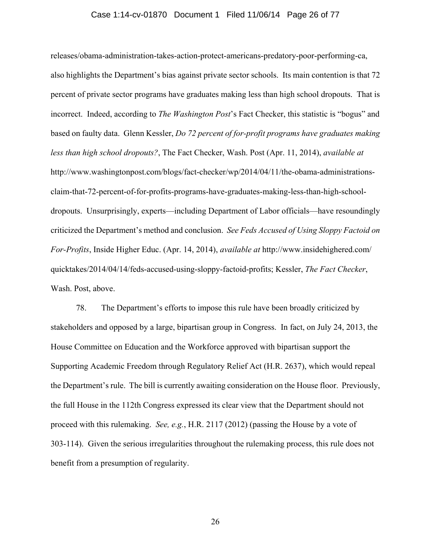## Case 1:14-cv-01870 Document 1 Filed 11/06/14 Page 26 of 77

releases/obama-administration-takes-action-protect-americans-predatory-poor-performing-ca, also highlights the Department's bias against private sector schools. Its main contention is that 72 percent of private sector programs have graduates making less than high school dropouts. That is incorrect. Indeed, according to *The Washington Post*'s Fact Checker, this statistic is "bogus" and based on faulty data. Glenn Kessler, *Do 72 percent of for-profit programs have graduates making less than high school dropouts?*, The Fact Checker, Wash. Post (Apr. 11, 2014), *available at*  http://www.washingtonpost.com/blogs/fact-checker/wp/2014/04/11/the-obama-administrationsclaim-that-72-percent-of-for-profits-programs-have-graduates-making-less-than-high-schooldropouts. Unsurprisingly, experts—including Department of Labor officials—have resoundingly criticized the Department's method and conclusion. *See Feds Accused of Using Sloppy Factoid on For-Profits*, Inside Higher Educ. (Apr. 14, 2014), *available at* http://www.insidehighered.com/ quicktakes/2014/04/14/feds-accused-using-sloppy-factoid-profits; Kessler, *The Fact Checker*, Wash. Post, above.

78. The Department's efforts to impose this rule have been broadly criticized by stakeholders and opposed by a large, bipartisan group in Congress. In fact, on July 24, 2013, the House Committee on Education and the Workforce approved with bipartisan support the Supporting Academic Freedom through Regulatory Relief Act (H.R. 2637), which would repeal the Department's rule. The bill is currently awaiting consideration on the House floor. Previously, the full House in the 112th Congress expressed its clear view that the Department should not proceed with this rulemaking. *See, e.g.*, H.R. 2117 (2012) (passing the House by a vote of 303-114). Given the serious irregularities throughout the rulemaking process, this rule does not benefit from a presumption of regularity.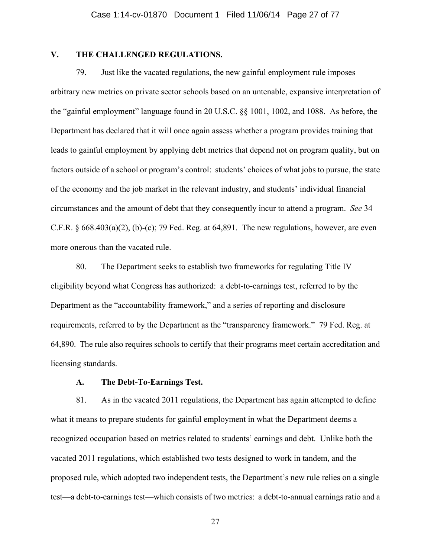# **V. THE CHALLENGED REGULATIONS.**

79. Just like the vacated regulations, the new gainful employment rule imposes arbitrary new metrics on private sector schools based on an untenable, expansive interpretation of the "gainful employment" language found in 20 U.S.C. §§ 1001, 1002, and 1088. As before, the Department has declared that it will once again assess whether a program provides training that leads to gainful employment by applying debt metrics that depend not on program quality, but on factors outside of a school or program's control: students' choices of what jobs to pursue, the state of the economy and the job market in the relevant industry, and students' individual financial circumstances and the amount of debt that they consequently incur to attend a program. *See* 34 C.F.R.  $\S$  668.403(a)(2), (b)-(c); 79 Fed. Reg. at 64,891. The new regulations, however, are even more onerous than the vacated rule.

80. The Department seeks to establish two frameworks for regulating Title IV eligibility beyond what Congress has authorized: a debt-to-earnings test, referred to by the Department as the "accountability framework," and a series of reporting and disclosure requirements, referred to by the Department as the "transparency framework." 79 Fed. Reg. at 64,890. The rule also requires schools to certify that their programs meet certain accreditation and licensing standards.

## **A. The Debt-To-Earnings Test.**

81. As in the vacated 2011 regulations, the Department has again attempted to define what it means to prepare students for gainful employment in what the Department deems a recognized occupation based on metrics related to students' earnings and debt. Unlike both the vacated 2011 regulations, which established two tests designed to work in tandem, and the proposed rule, which adopted two independent tests, the Department's new rule relies on a single test—a debt-to-earnings test—which consists of two metrics: a debt-to-annual earnings ratio and a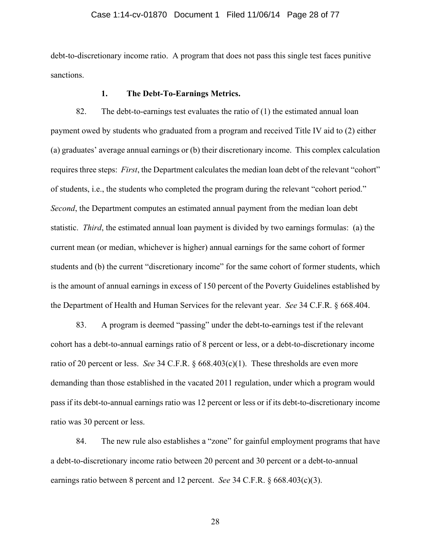## Case 1:14-cv-01870 Document 1 Filed 11/06/14 Page 28 of 77

debt-to-discretionary income ratio. A program that does not pass this single test faces punitive sanctions.

## **1. The Debt-To-Earnings Metrics.**

82. The debt-to-earnings test evaluates the ratio of  $(1)$  the estimated annual loan payment owed by students who graduated from a program and received Title IV aid to (2) either (a) graduates' average annual earnings or (b) their discretionary income. This complex calculation requires three steps: *First*, the Department calculates the median loan debt of the relevant "cohort" of students, i.e., the students who completed the program during the relevant "cohort period." *Second*, the Department computes an estimated annual payment from the median loan debt statistic. *Third*, the estimated annual loan payment is divided by two earnings formulas: (a) the current mean (or median, whichever is higher) annual earnings for the same cohort of former students and (b) the current "discretionary income" for the same cohort of former students, which is the amount of annual earnings in excess of 150 percent of the Poverty Guidelines established by the Department of Health and Human Services for the relevant year. *See* 34 C.F.R. § 668.404.

83. A program is deemed "passing" under the debt-to-earnings test if the relevant cohort has a debt-to-annual earnings ratio of 8 percent or less, or a debt-to-discretionary income ratio of 20 percent or less. *See* 34 C.F.R. § 668.403(c)(1). These thresholds are even more demanding than those established in the vacated 2011 regulation, under which a program would pass if its debt-to-annual earnings ratio was 12 percent or less or if its debt-to-discretionary income ratio was 30 percent or less.

84. The new rule also establishes a "zone" for gainful employment programs that have a debt-to-discretionary income ratio between 20 percent and 30 percent or a debt-to-annual earnings ratio between 8 percent and 12 percent. *See* 34 C.F.R. § 668.403(c)(3).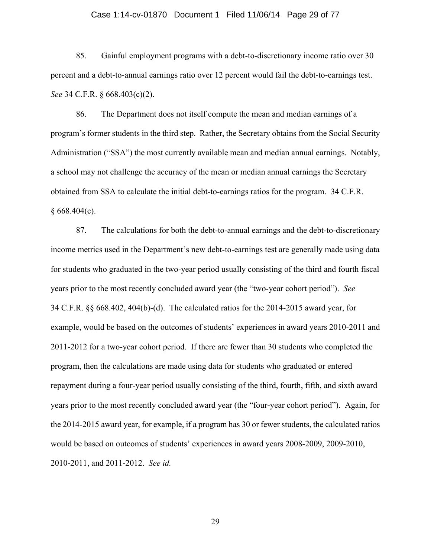### Case 1:14-cv-01870 Document 1 Filed 11/06/14 Page 29 of 77

85. Gainful employment programs with a debt-to-discretionary income ratio over 30 percent and a debt-to-annual earnings ratio over 12 percent would fail the debt-to-earnings test. *See* 34 C.F.R. § 668.403(c)(2).

86. The Department does not itself compute the mean and median earnings of a program's former students in the third step. Rather, the Secretary obtains from the Social Security Administration ("SSA") the most currently available mean and median annual earnings. Notably, a school may not challenge the accuracy of the mean or median annual earnings the Secretary obtained from SSA to calculate the initial debt-to-earnings ratios for the program. 34 C.F.R.  $§ 668.404(c).$ 

87. The calculations for both the debt-to-annual earnings and the debt-to-discretionary income metrics used in the Department's new debt-to-earnings test are generally made using data for students who graduated in the two-year period usually consisting of the third and fourth fiscal years prior to the most recently concluded award year (the "two-year cohort period"). *See* 34 C.F.R. §§ 668.402, 404(b)-(d). The calculated ratios for the 2014-2015 award year, for example, would be based on the outcomes of students' experiences in award years 2010-2011 and 2011-2012 for a two-year cohort period. If there are fewer than 30 students who completed the program, then the calculations are made using data for students who graduated or entered repayment during a four-year period usually consisting of the third, fourth, fifth, and sixth award years prior to the most recently concluded award year (the "four-year cohort period"). Again, for the 2014-2015 award year, for example, if a program has 30 or fewer students, the calculated ratios would be based on outcomes of students' experiences in award years 2008-2009, 2009-2010, 2010-2011, and 2011-2012. *See id.*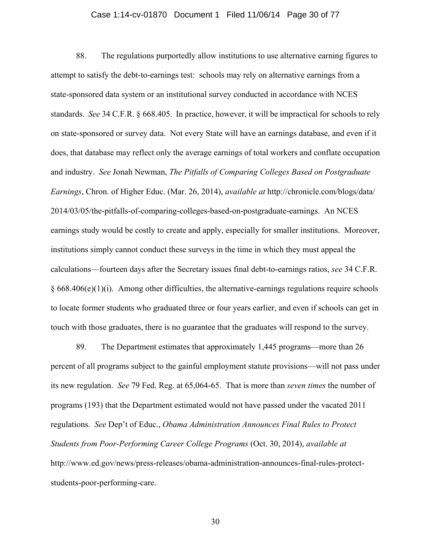## Case 1:14-cv-01870 Document 1 Filed 11/06/14 Page 30 of 77

88. The regulations purportedly allow institutions to use alternative earning figures to attempt to satisfy the debt-to-earnings test: schools may rely on alternative earnings from a state-sponsored data system or an institutional survey conducted in accordance with NCES standards. *See* 34 C.F.R. § 668.405. In practice, however, it will be impractical for schools to rely on state-sponsored or survey data. Not every State will have an earnings database, and even if it does, that database may reflect only the average earnings of total workers and conflate occupation and industry. *See* Jonah Newman, *The Pitfalls of Comparing Colleges Based on Postgraduate Earnings*, Chron. of Higher Educ. (Mar. 26, 2014), *available at* http://chronicle.com/blogs/data/ 2014/03/05/the-pitfalls-of-comparing-colleges-based-on-postgraduate-earnings. An NCES earnings study would be costly to create and apply, especially for smaller institutions. Moreover, institutions simply cannot conduct these surveys in the time in which they must appeal the calculations—fourteen days after the Secretary issues final debt-to-earnings ratios, *see* 34 C.F.R.  $§ 668.406(e)(1)(i)$ . Among other difficulties, the alternative-earnings regulations require schools to locate former students who graduated three or four years earlier, and even if schools can get in touch with those graduates, there is no guarantee that the graduates will respond to the survey.

89. The Department estimates that approximately 1,445 programs—more than 26 percent of all programs subject to the gainful employment statute provisions—will not pass under its new regulation. *See* 79 Fed. Reg. at 65,064-65. That is more than *seven times* the number of programs (193) that the Department estimated would not have passed under the vacated 2011 regulations. *See* Dep't of Educ., *Obama Administration Announces Final Rules to Protect Students from Poor-Performing Career College Programs* (Oct. 30, 2014), *available at*  http://www.ed.gov/news/press-releases/obama-administration-announces-final-rules-protectstudents-poor-performing-care.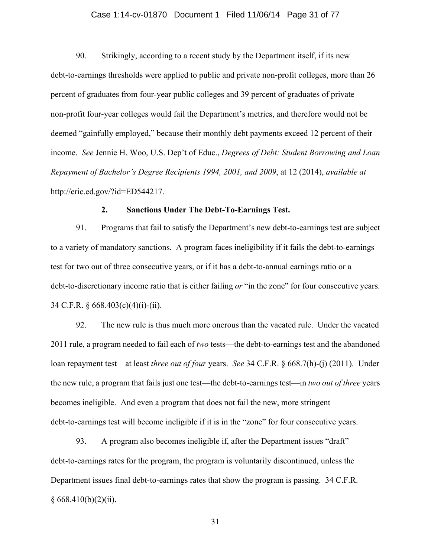## Case 1:14-cv-01870 Document 1 Filed 11/06/14 Page 31 of 77

90. Strikingly, according to a recent study by the Department itself, if its new debt-to-earnings thresholds were applied to public and private non-profit colleges, more than 26 percent of graduates from four-year public colleges and 39 percent of graduates of private non-profit four-year colleges would fail the Department's metrics, and therefore would not be deemed "gainfully employed," because their monthly debt payments exceed 12 percent of their income. *See* Jennie H. Woo, U.S. Dep't of Educ., *Degrees of Debt: Student Borrowing and Loan Repayment of Bachelor's Degree Recipients 1994, 2001, and 2009*, at 12 (2014), *available at*  http://eric.ed.gov/?id=ED544217.

# **2. Sanctions Under The Debt-To-Earnings Test.**

91. Programs that fail to satisfy the Department's new debt-to-earnings test are subject to a variety of mandatory sanctions. A program faces ineligibility if it fails the debt-to-earnings test for two out of three consecutive years, or if it has a debt-to-annual earnings ratio or a debt-to-discretionary income ratio that is either failing *or* "in the zone" for four consecutive years. 34 C.F.R. § 668.403(c)(4)(i)-(ii).

92. The new rule is thus much more onerous than the vacated rule. Under the vacated 2011 rule, a program needed to fail each of *two* tests—the debt-to-earnings test and the abandoned loan repayment test—at least *three out of four* years. *See* 34 C.F.R. § 668.7(h)-(j) (2011). Under the new rule, a program that fails just one test—the debt-to-earnings test—in *two out of three* years becomes ineligible. And even a program that does not fail the new, more stringent debt-to-earnings test will become ineligible if it is in the "zone" for four consecutive years.

93. A program also becomes ineligible if, after the Department issues "draft" debt-to-earnings rates for the program, the program is voluntarily discontinued, unless the Department issues final debt-to-earnings rates that show the program is passing. 34 C.F.R.  $§ 668.410(b)(2)(ii).$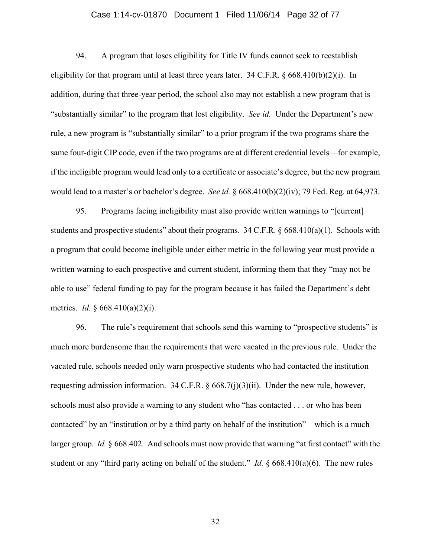## Case 1:14-cv-01870 Document 1 Filed 11/06/14 Page 32 of 77

94. A program that loses eligibility for Title IV funds cannot seek to reestablish eligibility for that program until at least three years later. 34 C.F.R. § 668.410(b)(2)(i). In addition, during that three-year period, the school also may not establish a new program that is "substantially similar" to the program that lost eligibility. *See id.* Under the Department's new rule, a new program is "substantially similar" to a prior program if the two programs share the same four-digit CIP code, even if the two programs are at different credential levels—for example, if the ineligible program would lead only to a certificate or associate's degree, but the new program would lead to a master's or bachelor's degree. *See id.* § 668.410(b)(2)(iv); 79 Fed. Reg. at 64,973.

95. Programs facing ineligibility must also provide written warnings to "[current] students and prospective students" about their programs.  $34$  C.F.R. § 668.410(a)(1). Schools with a program that could become ineligible under either metric in the following year must provide a written warning to each prospective and current student, informing them that they "may not be able to use" federal funding to pay for the program because it has failed the Department's debt metrics. *Id.* § 668.410(a)(2)(i).

96. The rule's requirement that schools send this warning to "prospective students" is much more burdensome than the requirements that were vacated in the previous rule. Under the vacated rule, schools needed only warn prospective students who had contacted the institution requesting admission information. 34 C.F.R. § 668.7(j)(3)(ii). Under the new rule, however, schools must also provide a warning to any student who "has contacted . . . or who has been contacted" by an "institution or by a third party on behalf of the institution"—which is a much larger group. *Id.* § 668.402. And schools must now provide that warning "at first contact" with the student or any "third party acting on behalf of the student." *Id.* § 668.410(a)(6). The new rules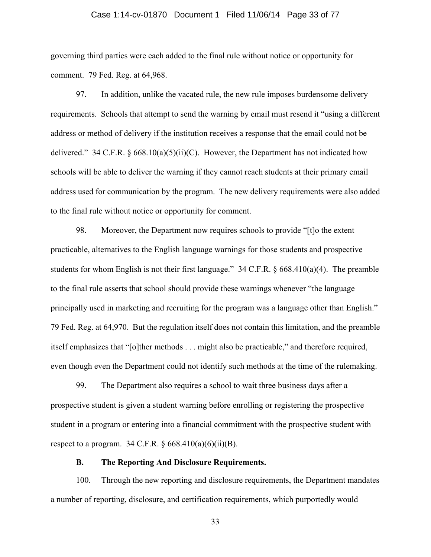## Case 1:14-cv-01870 Document 1 Filed 11/06/14 Page 33 of 77

governing third parties were each added to the final rule without notice or opportunity for comment. 79 Fed. Reg. at 64,968.

97. In addition, unlike the vacated rule, the new rule imposes burdensome delivery requirements. Schools that attempt to send the warning by email must resend it "using a different address or method of delivery if the institution receives a response that the email could not be delivered." 34 C.F.R. § 668.10(a)(5)(ii)(C). However, the Department has not indicated how schools will be able to deliver the warning if they cannot reach students at their primary email address used for communication by the program. The new delivery requirements were also added to the final rule without notice or opportunity for comment.

98. Moreover, the Department now requires schools to provide "[t]o the extent practicable, alternatives to the English language warnings for those students and prospective students for whom English is not their first language." 34 C.F.R.  $\S$  668.410(a)(4). The preamble to the final rule asserts that school should provide these warnings whenever "the language principally used in marketing and recruiting for the program was a language other than English." 79 Fed. Reg. at 64,970. But the regulation itself does not contain this limitation, and the preamble itself emphasizes that "[o]ther methods . . . might also be practicable," and therefore required, even though even the Department could not identify such methods at the time of the rulemaking.

99. The Department also requires a school to wait three business days after a prospective student is given a student warning before enrolling or registering the prospective student in a program or entering into a financial commitment with the prospective student with respect to a program.  $34 \text{ C.F.R.}$  §  $668.410(a)(6)(ii)(B)$ .

## **B. The Reporting And Disclosure Requirements.**

100. Through the new reporting and disclosure requirements, the Department mandates a number of reporting, disclosure, and certification requirements, which purportedly would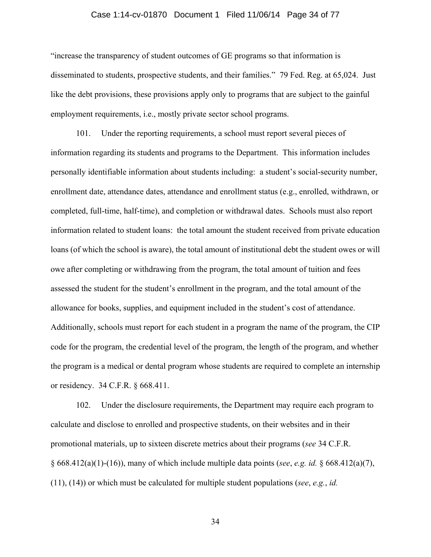## Case 1:14-cv-01870 Document 1 Filed 11/06/14 Page 34 of 77

"increase the transparency of student outcomes of GE programs so that information is disseminated to students, prospective students, and their families." 79 Fed. Reg. at 65,024. Just like the debt provisions, these provisions apply only to programs that are subject to the gainful employment requirements, i.e., mostly private sector school programs.

101. Under the reporting requirements, a school must report several pieces of information regarding its students and programs to the Department. This information includes personally identifiable information about students including: a student's social-security number, enrollment date, attendance dates, attendance and enrollment status (e.g., enrolled, withdrawn, or completed, full-time, half-time), and completion or withdrawal dates. Schools must also report information related to student loans: the total amount the student received from private education loans (of which the school is aware), the total amount of institutional debt the student owes or will owe after completing or withdrawing from the program, the total amount of tuition and fees assessed the student for the student's enrollment in the program, and the total amount of the allowance for books, supplies, and equipment included in the student's cost of attendance. Additionally, schools must report for each student in a program the name of the program, the CIP code for the program, the credential level of the program, the length of the program, and whether the program is a medical or dental program whose students are required to complete an internship or residency. 34 C.F.R. § 668.411.

102. Under the disclosure requirements, the Department may require each program to calculate and disclose to enrolled and prospective students, on their websites and in their promotional materials, up to sixteen discrete metrics about their programs (*see* 34 C.F.R. § 668.412(a)(1)-(16)), many of which include multiple data points (*see*, *e.g. id.* § 668.412(a)(7), (11), (14)) or which must be calculated for multiple student populations (*see*, *e.g.*, *id.*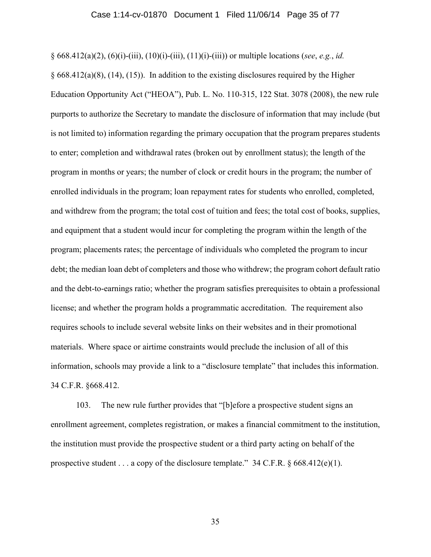§ 668.412(a)(2), (6)(i)-(iii), (10)(i)-(iii), (11)(i)-(iii)) or multiple locations (*see*, *e.g.*, *id.*  $§ 668.412(a)(8)$ , (14), (15)). In addition to the existing disclosures required by the Higher Education Opportunity Act ("HEOA"), Pub. L. No. 110-315, 122 Stat. 3078 (2008), the new rule purports to authorize the Secretary to mandate the disclosure of information that may include (but is not limited to) information regarding the primary occupation that the program prepares students to enter; completion and withdrawal rates (broken out by enrollment status); the length of the program in months or years; the number of clock or credit hours in the program; the number of enrolled individuals in the program; loan repayment rates for students who enrolled, completed, and withdrew from the program; the total cost of tuition and fees; the total cost of books, supplies, and equipment that a student would incur for completing the program within the length of the program; placements rates; the percentage of individuals who completed the program to incur debt; the median loan debt of completers and those who withdrew; the program cohort default ratio and the debt-to-earnings ratio; whether the program satisfies prerequisites to obtain a professional license; and whether the program holds a programmatic accreditation. The requirement also requires schools to include several website links on their websites and in their promotional materials. Where space or airtime constraints would preclude the inclusion of all of this information, schools may provide a link to a "disclosure template" that includes this information. 34 C.F.R. §668.412.

103. The new rule further provides that "[b]efore a prospective student signs an enrollment agreement, completes registration, or makes a financial commitment to the institution, the institution must provide the prospective student or a third party acting on behalf of the prospective student . . . a copy of the disclosure template." 34 C.F.R.  $\S$  668.412(e)(1).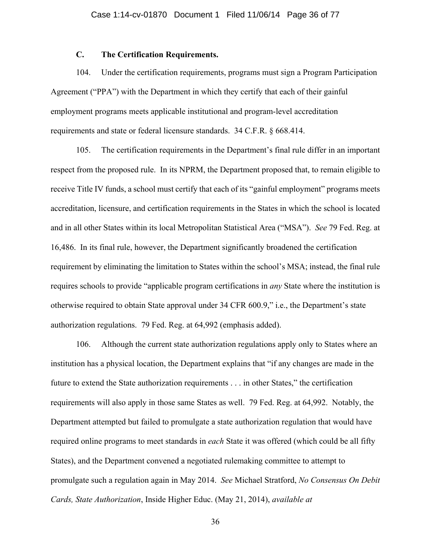## **C. The Certification Requirements.**

104. Under the certification requirements, programs must sign a Program Participation Agreement ("PPA") with the Department in which they certify that each of their gainful employment programs meets applicable institutional and program-level accreditation requirements and state or federal licensure standards. 34 C.F.R. § 668.414.

105. The certification requirements in the Department's final rule differ in an important respect from the proposed rule. In its NPRM, the Department proposed that, to remain eligible to receive Title IV funds, a school must certify that each of its "gainful employment" programs meets accreditation, licensure, and certification requirements in the States in which the school is located and in all other States within its local Metropolitan Statistical Area ("MSA"). *See* 79 Fed. Reg. at 16,486. In its final rule, however, the Department significantly broadened the certification requirement by eliminating the limitation to States within the school's MSA; instead, the final rule requires schools to provide "applicable program certifications in *any* State where the institution is otherwise required to obtain State approval under 34 CFR 600.9," i.e., the Department's state authorization regulations. 79 Fed. Reg. at 64,992 (emphasis added).

106. Although the current state authorization regulations apply only to States where an institution has a physical location, the Department explains that "if any changes are made in the future to extend the State authorization requirements . . . in other States," the certification requirements will also apply in those same States as well. 79 Fed. Reg. at 64,992. Notably, the Department attempted but failed to promulgate a state authorization regulation that would have required online programs to meet standards in *each* State it was offered (which could be all fifty States), and the Department convened a negotiated rulemaking committee to attempt to promulgate such a regulation again in May 2014. *See* Michael Stratford, *No Consensus On Debit Cards, State Authorization*, Inside Higher Educ. (May 21, 2014), *available at*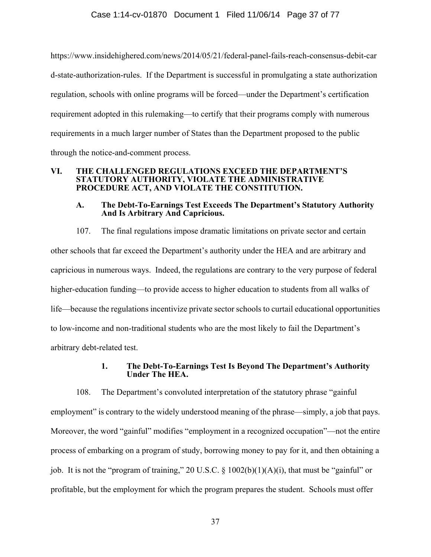https://www.insidehighered.com/news/2014/05/21/federal-panel-fails-reach-consensus-debit-car d-state-authorization-rules. If the Department is successful in promulgating a state authorization regulation, schools with online programs will be forced—under the Department's certification requirement adopted in this rulemaking—to certify that their programs comply with numerous requirements in a much larger number of States than the Department proposed to the public through the notice-and-comment process.

### **VI. THE CHALLENGED REGULATIONS EXCEED THE DEPARTMENT'S STATUTORY AUTHORITY, VIOLATE THE ADMINISTRATIVE PROCEDURE ACT, AND VIOLATE THE CONSTITUTION.**

## **A. The Debt-To-Earnings Test Exceeds The Department's Statutory Authority And Is Arbitrary And Capricious.**

107. The final regulations impose dramatic limitations on private sector and certain other schools that far exceed the Department's authority under the HEA and are arbitrary and capricious in numerous ways. Indeed, the regulations are contrary to the very purpose of federal higher-education funding—to provide access to higher education to students from all walks of life—because the regulations incentivize private sector schools to curtail educational opportunities to low-income and non-traditional students who are the most likely to fail the Department's arbitrary debt-related test.

# **1. The Debt-To-Earnings Test Is Beyond The Department's Authority Under The HEA.**

108. The Department's convoluted interpretation of the statutory phrase "gainful employment" is contrary to the widely understood meaning of the phrase—simply, a job that pays. Moreover, the word "gainful" modifies "employment in a recognized occupation"—not the entire process of embarking on a program of study, borrowing money to pay for it, and then obtaining a job. It is not the "program of training," 20 U.S.C. § 1002(b)(1)(A)(i), that must be "gainful" or profitable, but the employment for which the program prepares the student. Schools must offer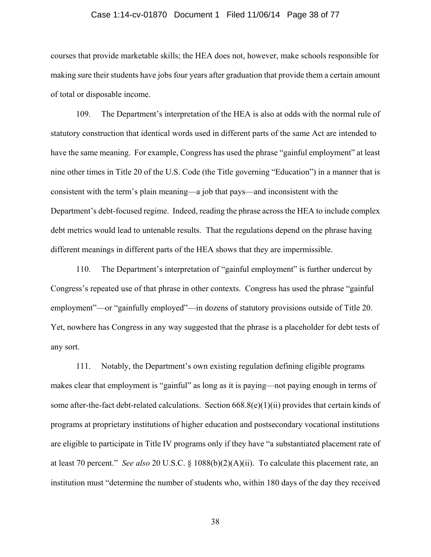#### Case 1:14-cv-01870 Document 1 Filed 11/06/14 Page 38 of 77

courses that provide marketable skills; the HEA does not, however, make schools responsible for making sure their students have jobs four years after graduation that provide them a certain amount of total or disposable income.

109. The Department's interpretation of the HEA is also at odds with the normal rule of statutory construction that identical words used in different parts of the same Act are intended to have the same meaning. For example, Congress has used the phrase "gainful employment" at least nine other times in Title 20 of the U.S. Code (the Title governing "Education") in a manner that is consistent with the term's plain meaning—a job that pays—and inconsistent with the Department's debt-focused regime. Indeed, reading the phrase across the HEA to include complex debt metrics would lead to untenable results. That the regulations depend on the phrase having different meanings in different parts of the HEA shows that they are impermissible.

110. The Department's interpretation of "gainful employment" is further undercut by Congress's repeated use of that phrase in other contexts. Congress has used the phrase "gainful employment"—or "gainfully employed"—in dozens of statutory provisions outside of Title 20. Yet, nowhere has Congress in any way suggested that the phrase is a placeholder for debt tests of any sort.

111. Notably, the Department's own existing regulation defining eligible programs makes clear that employment is "gainful" as long as it is paying—not paying enough in terms of some after-the-fact debt-related calculations. Section 668.8(e)(1)(ii) provides that certain kinds of programs at proprietary institutions of higher education and postsecondary vocational institutions are eligible to participate in Title IV programs only if they have "a substantiated placement rate of at least 70 percent." *See also* 20 U.S.C. § 1088(b)(2)(A)(ii). To calculate this placement rate, an institution must "determine the number of students who, within 180 days of the day they received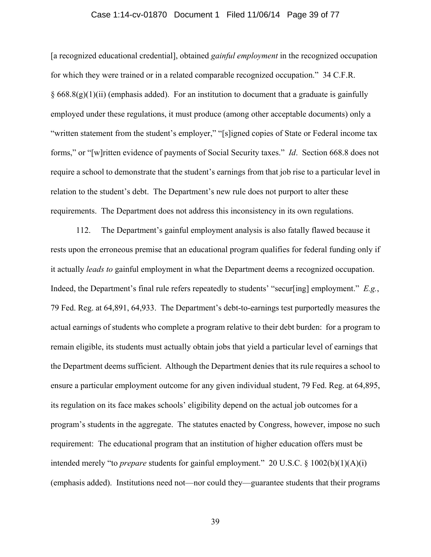#### Case 1:14-cv-01870 Document 1 Filed 11/06/14 Page 39 of 77

[a recognized educational credential], obtained *gainful employment* in the recognized occupation for which they were trained or in a related comparable recognized occupation." 34 C.F.R.  $§$  668.8(g)(1)(ii) (emphasis added). For an institution to document that a graduate is gainfully employed under these regulations, it must produce (among other acceptable documents) only a "written statement from the student's employer," "[s]igned copies of State or Federal income tax forms," or "[w]ritten evidence of payments of Social Security taxes." *Id*. Section 668.8 does not require a school to demonstrate that the student's earnings from that job rise to a particular level in relation to the student's debt. The Department's new rule does not purport to alter these requirements. The Department does not address this inconsistency in its own regulations.

112. The Department's gainful employment analysis is also fatally flawed because it rests upon the erroneous premise that an educational program qualifies for federal funding only if it actually *leads to* gainful employment in what the Department deems a recognized occupation. Indeed, the Department's final rule refers repeatedly to students' "secur[ing] employment." *E.g.*, 79 Fed. Reg. at 64,891, 64,933. The Department's debt-to-earnings test purportedly measures the actual earnings of students who complete a program relative to their debt burden: for a program to remain eligible, its students must actually obtain jobs that yield a particular level of earnings that the Department deems sufficient. Although the Department denies that its rule requires a school to ensure a particular employment outcome for any given individual student, 79 Fed. Reg. at 64,895, its regulation on its face makes schools' eligibility depend on the actual job outcomes for a program's students in the aggregate. The statutes enacted by Congress, however, impose no such requirement: The educational program that an institution of higher education offers must be intended merely "to *prepare* students for gainful employment." 20 U.S.C. § 1002(b)(1)(A)(i) (emphasis added). Institutions need not—nor could they—guarantee students that their programs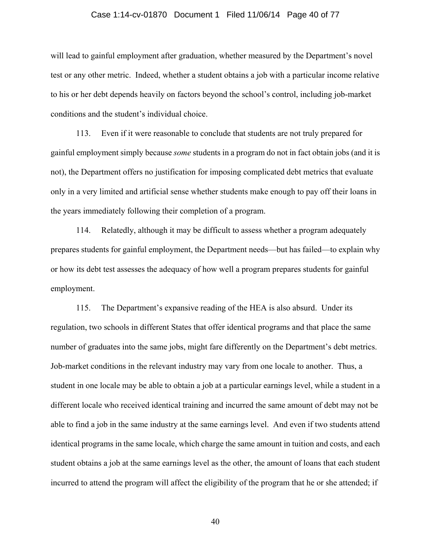#### Case 1:14-cv-01870 Document 1 Filed 11/06/14 Page 40 of 77

will lead to gainful employment after graduation, whether measured by the Department's novel test or any other metric. Indeed, whether a student obtains a job with a particular income relative to his or her debt depends heavily on factors beyond the school's control, including job-market conditions and the student's individual choice.

113. Even if it were reasonable to conclude that students are not truly prepared for gainful employment simply because *some* students in a program do not in fact obtain jobs (and it is not), the Department offers no justification for imposing complicated debt metrics that evaluate only in a very limited and artificial sense whether students make enough to pay off their loans in the years immediately following their completion of a program.

114. Relatedly, although it may be difficult to assess whether a program adequately prepares students for gainful employment, the Department needs—but has failed—to explain why or how its debt test assesses the adequacy of how well a program prepares students for gainful employment.

115. The Department's expansive reading of the HEA is also absurd. Under its regulation, two schools in different States that offer identical programs and that place the same number of graduates into the same jobs, might fare differently on the Department's debt metrics. Job-market conditions in the relevant industry may vary from one locale to another. Thus, a student in one locale may be able to obtain a job at a particular earnings level, while a student in a different locale who received identical training and incurred the same amount of debt may not be able to find a job in the same industry at the same earnings level. And even if two students attend identical programs in the same locale, which charge the same amount in tuition and costs, and each student obtains a job at the same earnings level as the other, the amount of loans that each student incurred to attend the program will affect the eligibility of the program that he or she attended; if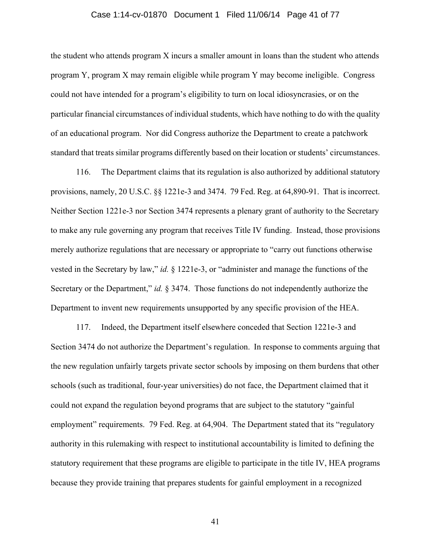#### Case 1:14-cv-01870 Document 1 Filed 11/06/14 Page 41 of 77

the student who attends program X incurs a smaller amount in loans than the student who attends program Y, program X may remain eligible while program Y may become ineligible. Congress could not have intended for a program's eligibility to turn on local idiosyncrasies, or on the particular financial circumstances of individual students, which have nothing to do with the quality of an educational program. Nor did Congress authorize the Department to create a patchwork standard that treats similar programs differently based on their location or students' circumstances.

116. The Department claims that its regulation is also authorized by additional statutory provisions, namely, 20 U.S.C. §§ 1221e-3 and 3474. 79 Fed. Reg. at 64,890-91. That is incorrect. Neither Section 1221e-3 nor Section 3474 represents a plenary grant of authority to the Secretary to make any rule governing any program that receives Title IV funding. Instead, those provisions merely authorize regulations that are necessary or appropriate to "carry out functions otherwise vested in the Secretary by law," *id.* § 1221e-3, or "administer and manage the functions of the Secretary or the Department," *id.* § 3474. Those functions do not independently authorize the Department to invent new requirements unsupported by any specific provision of the HEA.

117. Indeed, the Department itself elsewhere conceded that Section 1221e-3 and Section 3474 do not authorize the Department's regulation. In response to comments arguing that the new regulation unfairly targets private sector schools by imposing on them burdens that other schools (such as traditional, four-year universities) do not face, the Department claimed that it could not expand the regulation beyond programs that are subject to the statutory "gainful employment" requirements. 79 Fed. Reg. at 64,904. The Department stated that its "regulatory authority in this rulemaking with respect to institutional accountability is limited to defining the statutory requirement that these programs are eligible to participate in the title IV, HEA programs because they provide training that prepares students for gainful employment in a recognized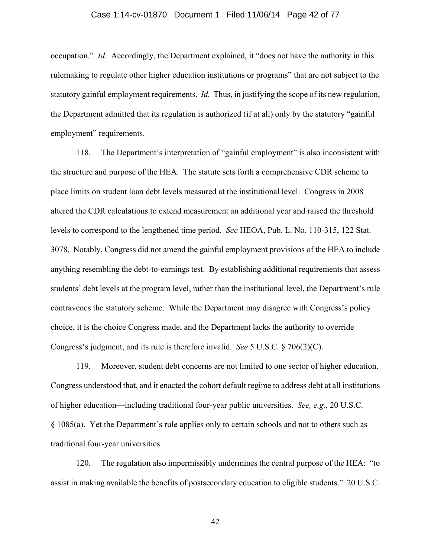#### Case 1:14-cv-01870 Document 1 Filed 11/06/14 Page 42 of 77

occupation." *Id.* Accordingly, the Department explained, it "does not have the authority in this rulemaking to regulate other higher education institutions or programs" that are not subject to the statutory gainful employment requirements. *Id.* Thus, in justifying the scope of its new regulation, the Department admitted that its regulation is authorized (if at all) only by the statutory "gainful employment" requirements.

118. The Department's interpretation of "gainful employment" is also inconsistent with the structure and purpose of the HEA. The statute sets forth a comprehensive CDR scheme to place limits on student loan debt levels measured at the institutional level. Congress in 2008 altered the CDR calculations to extend measurement an additional year and raised the threshold levels to correspond to the lengthened time period. *See* HEOA, Pub. L. No. 110-315, 122 Stat. 3078. Notably, Congress did not amend the gainful employment provisions of the HEA to include anything resembling the debt-to-earnings test. By establishing additional requirements that assess students' debt levels at the program level, rather than the institutional level, the Department's rule contravenes the statutory scheme. While the Department may disagree with Congress's policy choice, it is the choice Congress made, and the Department lacks the authority to override Congress's judgment, and its rule is therefore invalid. *See* 5 U.S.C. § 706(2)(C).

119. Moreover, student debt concerns are not limited to one sector of higher education. Congress understood that, and it enacted the cohort default regime to address debt at all institutions of higher education—including traditional four-year public universities. *See, e.g.*, 20 U.S.C. § 1085(a). Yet the Department's rule applies only to certain schools and not to others such as traditional four-year universities.

120. The regulation also impermissibly undermines the central purpose of the HEA: "to assist in making available the benefits of postsecondary education to eligible students." 20 U.S.C.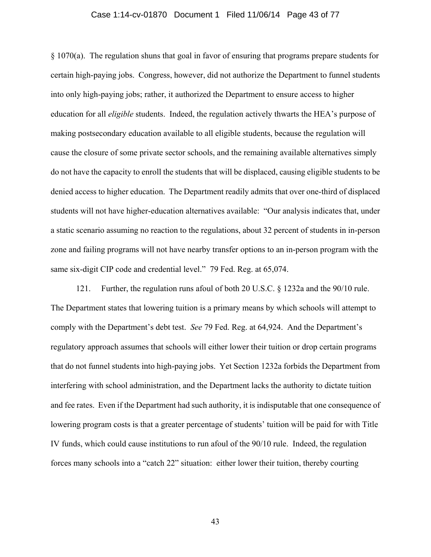#### Case 1:14-cv-01870 Document 1 Filed 11/06/14 Page 43 of 77

§ 1070(a). The regulation shuns that goal in favor of ensuring that programs prepare students for certain high-paying jobs. Congress, however, did not authorize the Department to funnel students into only high-paying jobs; rather, it authorized the Department to ensure access to higher education for all *eligible* students. Indeed, the regulation actively thwarts the HEA's purpose of making postsecondary education available to all eligible students, because the regulation will cause the closure of some private sector schools, and the remaining available alternatives simply do not have the capacity to enroll the students that will be displaced, causing eligible students to be denied access to higher education. The Department readily admits that over one-third of displaced students will not have higher-education alternatives available: "Our analysis indicates that, under a static scenario assuming no reaction to the regulations, about 32 percent of students in in-person zone and failing programs will not have nearby transfer options to an in-person program with the same six-digit CIP code and credential level." 79 Fed. Reg. at 65,074.

121. Further, the regulation runs afoul of both 20 U.S.C. § 1232a and the 90/10 rule. The Department states that lowering tuition is a primary means by which schools will attempt to comply with the Department's debt test. *See* 79 Fed. Reg. at 64,924. And the Department's regulatory approach assumes that schools will either lower their tuition or drop certain programs that do not funnel students into high-paying jobs. Yet Section 1232a forbids the Department from interfering with school administration, and the Department lacks the authority to dictate tuition and fee rates. Even if the Department had such authority, it is indisputable that one consequence of lowering program costs is that a greater percentage of students' tuition will be paid for with Title IV funds, which could cause institutions to run afoul of the 90/10 rule. Indeed, the regulation forces many schools into a "catch 22" situation: either lower their tuition, thereby courting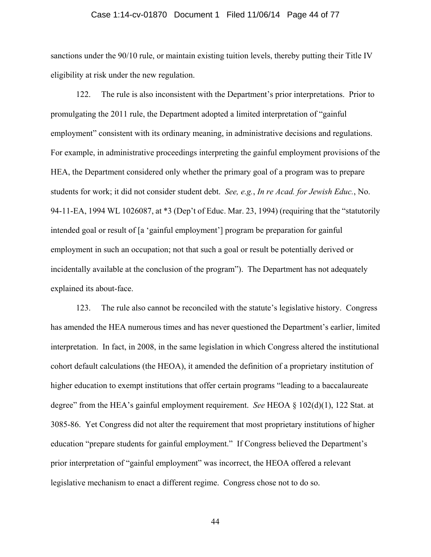#### Case 1:14-cv-01870 Document 1 Filed 11/06/14 Page 44 of 77

sanctions under the 90/10 rule, or maintain existing tuition levels, thereby putting their Title IV eligibility at risk under the new regulation.

122. The rule is also inconsistent with the Department's prior interpretations. Prior to promulgating the 2011 rule, the Department adopted a limited interpretation of "gainful employment" consistent with its ordinary meaning, in administrative decisions and regulations. For example, in administrative proceedings interpreting the gainful employment provisions of the HEA, the Department considered only whether the primary goal of a program was to prepare students for work; it did not consider student debt. *See, e.g.*, *In re Acad. for Jewish Educ.*, No. 94-11-EA, 1994 WL 1026087, at \*3 (Dep't of Educ. Mar. 23, 1994) (requiring that the "statutorily intended goal or result of [a 'gainful employment'] program be preparation for gainful employment in such an occupation; not that such a goal or result be potentially derived or incidentally available at the conclusion of the program"). The Department has not adequately explained its about-face.

123. The rule also cannot be reconciled with the statute's legislative history. Congress has amended the HEA numerous times and has never questioned the Department's earlier, limited interpretation. In fact, in 2008, in the same legislation in which Congress altered the institutional cohort default calculations (the HEOA), it amended the definition of a proprietary institution of higher education to exempt institutions that offer certain programs "leading to a baccalaureate degree" from the HEA's gainful employment requirement. *See* HEOA § 102(d)(1), 122 Stat. at 3085-86. Yet Congress did not alter the requirement that most proprietary institutions of higher education "prepare students for gainful employment." If Congress believed the Department's prior interpretation of "gainful employment" was incorrect, the HEOA offered a relevant legislative mechanism to enact a different regime. Congress chose not to do so.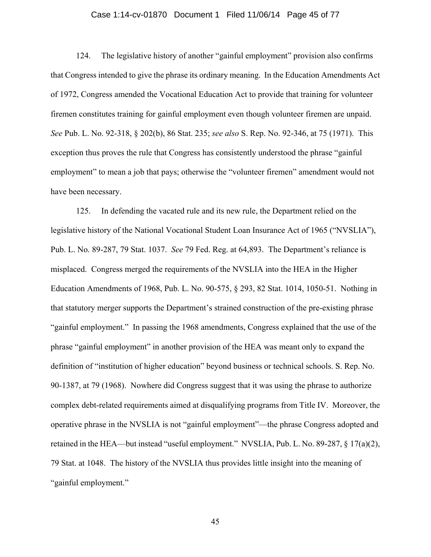#### Case 1:14-cv-01870 Document 1 Filed 11/06/14 Page 45 of 77

124. The legislative history of another "gainful employment" provision also confirms that Congress intended to give the phrase its ordinary meaning. In the Education Amendments Act of 1972, Congress amended the Vocational Education Act to provide that training for volunteer firemen constitutes training for gainful employment even though volunteer firemen are unpaid. *See* Pub. L. No. 92-318, § 202(b), 86 Stat. 235; *see also* S. Rep. No. 92-346, at 75 (1971). This exception thus proves the rule that Congress has consistently understood the phrase "gainful employment" to mean a job that pays; otherwise the "volunteer firemen" amendment would not have been necessary.

125. In defending the vacated rule and its new rule, the Department relied on the legislative history of the National Vocational Student Loan Insurance Act of 1965 ("NVSLIA"), Pub. L. No. 89-287, 79 Stat. 1037. *See* 79 Fed. Reg. at 64,893. The Department's reliance is misplaced. Congress merged the requirements of the NVSLIA into the HEA in the Higher Education Amendments of 1968, Pub. L. No. 90-575, § 293, 82 Stat. 1014, 1050-51. Nothing in that statutory merger supports the Department's strained construction of the pre-existing phrase "gainful employment." In passing the 1968 amendments, Congress explained that the use of the phrase "gainful employment" in another provision of the HEA was meant only to expand the definition of "institution of higher education" beyond business or technical schools. S. Rep. No. 90-1387, at 79 (1968). Nowhere did Congress suggest that it was using the phrase to authorize complex debt-related requirements aimed at disqualifying programs from Title IV. Moreover, the operative phrase in the NVSLIA is not "gainful employment"—the phrase Congress adopted and retained in the HEA—but instead "useful employment." NVSLIA, Pub. L. No. 89-287, § 17(a)(2), 79 Stat. at 1048. The history of the NVSLIA thus provides little insight into the meaning of "gainful employment."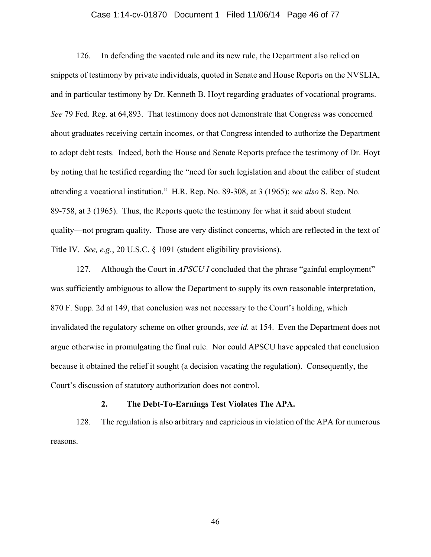#### Case 1:14-cv-01870 Document 1 Filed 11/06/14 Page 46 of 77

126. In defending the vacated rule and its new rule, the Department also relied on snippets of testimony by private individuals, quoted in Senate and House Reports on the NVSLIA, and in particular testimony by Dr. Kenneth B. Hoyt regarding graduates of vocational programs. *See* 79 Fed. Reg. at 64,893. That testimony does not demonstrate that Congress was concerned about graduates receiving certain incomes, or that Congress intended to authorize the Department to adopt debt tests. Indeed, both the House and Senate Reports preface the testimony of Dr. Hoyt by noting that he testified regarding the "need for such legislation and about the caliber of student attending a vocational institution." H.R. Rep. No. 89-308, at 3 (1965); *see also* S. Rep. No. 89-758, at 3 (1965). Thus, the Reports quote the testimony for what it said about student quality—not program quality. Those are very distinct concerns, which are reflected in the text of Title IV. *See, e.g.*, 20 U.S.C. § 1091 (student eligibility provisions).

127. Although the Court in *APSCU I* concluded that the phrase "gainful employment" was sufficiently ambiguous to allow the Department to supply its own reasonable interpretation, 870 F. Supp. 2d at 149, that conclusion was not necessary to the Court's holding, which invalidated the regulatory scheme on other grounds, *see id.* at 154. Even the Department does not argue otherwise in promulgating the final rule. Nor could APSCU have appealed that conclusion because it obtained the relief it sought (a decision vacating the regulation). Consequently, the Court's discussion of statutory authorization does not control.

### **2. The Debt-To-Earnings Test Violates The APA.**

128. The regulation is also arbitrary and capricious in violation of the APA for numerous reasons.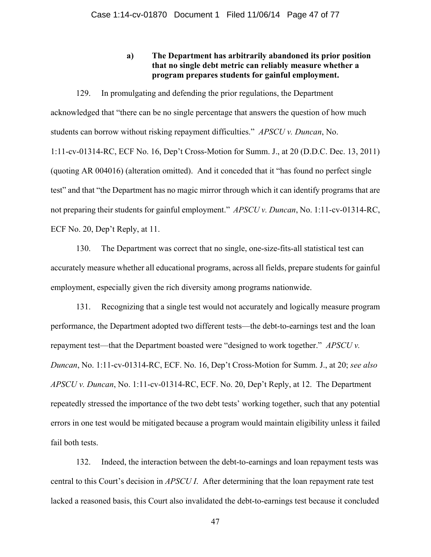# **a) The Department has arbitrarily abandoned its prior position that no single debt metric can reliably measure whether a program prepares students for gainful employment.**

129. In promulgating and defending the prior regulations, the Department acknowledged that "there can be no single percentage that answers the question of how much students can borrow without risking repayment difficulties." *APSCU v. Duncan*, No. 1:11-cv-01314-RC, ECF No. 16, Dep't Cross-Motion for Summ. J., at 20 (D.D.C. Dec. 13, 2011) (quoting AR 004016) (alteration omitted). And it conceded that it "has found no perfect single test" and that "the Department has no magic mirror through which it can identify programs that are not preparing their students for gainful employment." *APSCU v. Duncan*, No. 1:11-cv-01314-RC, ECF No. 20, Dep't Reply, at 11.

130. The Department was correct that no single, one-size-fits-all statistical test can accurately measure whether all educational programs, across all fields, prepare students for gainful employment, especially given the rich diversity among programs nationwide.

131. Recognizing that a single test would not accurately and logically measure program performance, the Department adopted two different tests—the debt-to-earnings test and the loan repayment test—that the Department boasted were "designed to work together." *APSCU v. Duncan*, No. 1:11-cv-01314-RC, ECF. No. 16, Dep't Cross-Motion for Summ. J., at 20; *see also APSCU v. Duncan*, No. 1:11-cv-01314-RC, ECF. No. 20, Dep't Reply, at 12. The Department repeatedly stressed the importance of the two debt tests' working together, such that any potential errors in one test would be mitigated because a program would maintain eligibility unless it failed fail both tests.

132. Indeed, the interaction between the debt-to-earnings and loan repayment tests was central to this Court's decision in *APSCU I*. After determining that the loan repayment rate test lacked a reasoned basis, this Court also invalidated the debt-to-earnings test because it concluded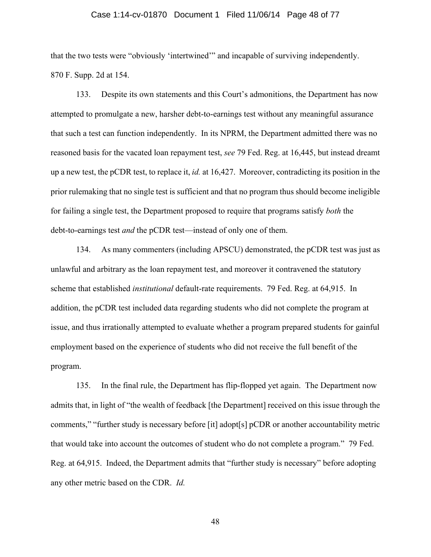#### Case 1:14-cv-01870 Document 1 Filed 11/06/14 Page 48 of 77

that the two tests were "obviously 'intertwined'" and incapable of surviving independently. 870 F. Supp. 2d at 154.

133. Despite its own statements and this Court's admonitions, the Department has now attempted to promulgate a new, harsher debt-to-earnings test without any meaningful assurance that such a test can function independently. In its NPRM, the Department admitted there was no reasoned basis for the vacated loan repayment test, *see* 79 Fed. Reg. at 16,445, but instead dreamt up a new test, the pCDR test, to replace it, *id.* at 16,427. Moreover, contradicting its position in the prior rulemaking that no single test is sufficient and that no program thus should become ineligible for failing a single test, the Department proposed to require that programs satisfy *both* the debt-to-earnings test *and* the pCDR test—instead of only one of them.

134. As many commenters (including APSCU) demonstrated, the pCDR test was just as unlawful and arbitrary as the loan repayment test, and moreover it contravened the statutory scheme that established *institutional* default-rate requirements. 79 Fed. Reg. at 64,915. In addition, the pCDR test included data regarding students who did not complete the program at issue, and thus irrationally attempted to evaluate whether a program prepared students for gainful employment based on the experience of students who did not receive the full benefit of the program.

135. In the final rule, the Department has flip-flopped yet again. The Department now admits that, in light of "the wealth of feedback [the Department] received on this issue through the comments," "further study is necessary before [it] adopt[s] pCDR or another accountability metric that would take into account the outcomes of student who do not complete a program." 79 Fed. Reg. at 64,915. Indeed, the Department admits that "further study is necessary" before adopting any other metric based on the CDR. *Id.*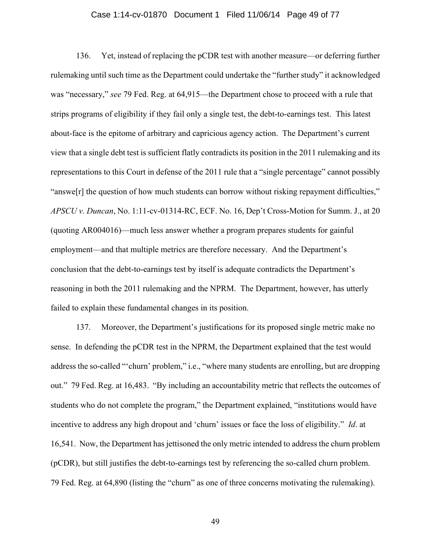#### Case 1:14-cv-01870 Document 1 Filed 11/06/14 Page 49 of 77

136. Yet, instead of replacing the pCDR test with another measure—or deferring further rulemaking until such time as the Department could undertake the "further study" it acknowledged was "necessary," *see* 79 Fed. Reg. at 64,915—the Department chose to proceed with a rule that strips programs of eligibility if they fail only a single test, the debt-to-earnings test. This latest about-face is the epitome of arbitrary and capricious agency action. The Department's current view that a single debt test is sufficient flatly contradicts its position in the 2011 rulemaking and its representations to this Court in defense of the 2011 rule that a "single percentage" cannot possibly "answe[r] the question of how much students can borrow without risking repayment difficulties," *APSCU v. Duncan*, No. 1:11-cv-01314-RC, ECF. No. 16, Dep't Cross-Motion for Summ. J., at 20 (quoting AR004016)—much less answer whether a program prepares students for gainful employment—and that multiple metrics are therefore necessary. And the Department's conclusion that the debt-to-earnings test by itself is adequate contradicts the Department's reasoning in both the 2011 rulemaking and the NPRM. The Department, however, has utterly failed to explain these fundamental changes in its position.

137. Moreover, the Department's justifications for its proposed single metric make no sense. In defending the pCDR test in the NPRM, the Department explained that the test would address the so-called "'churn' problem," i.e., "where many students are enrolling, but are dropping out." 79 Fed. Reg. at 16,483. "By including an accountability metric that reflects the outcomes of students who do not complete the program," the Department explained, "institutions would have incentive to address any high dropout and 'churn' issues or face the loss of eligibility." *Id*. at 16,541. Now, the Department has jettisoned the only metric intended to address the churn problem (pCDR), but still justifies the debt-to-earnings test by referencing the so-called churn problem. 79 Fed. Reg. at 64,890 (listing the "churn" as one of three concerns motivating the rulemaking).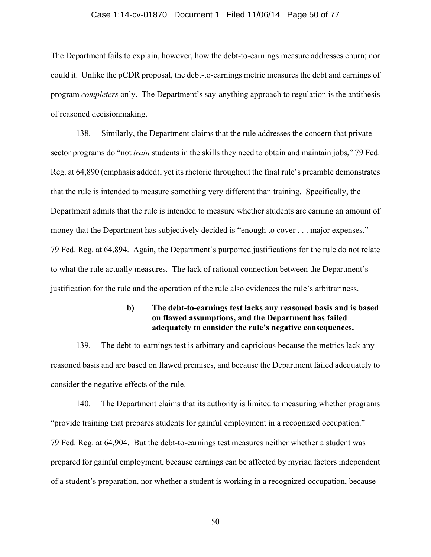#### Case 1:14-cv-01870 Document 1 Filed 11/06/14 Page 50 of 77

The Department fails to explain, however, how the debt-to-earnings measure addresses churn; nor could it. Unlike the pCDR proposal, the debt-to-earnings metric measures the debt and earnings of program *completers* only. The Department's say-anything approach to regulation is the antithesis of reasoned decisionmaking.

138. Similarly, the Department claims that the rule addresses the concern that private sector programs do "not *train* students in the skills they need to obtain and maintain jobs," 79 Fed. Reg. at 64,890 (emphasis added), yet its rhetoric throughout the final rule's preamble demonstrates that the rule is intended to measure something very different than training. Specifically, the Department admits that the rule is intended to measure whether students are earning an amount of money that the Department has subjectively decided is "enough to cover . . . major expenses." 79 Fed. Reg. at 64,894. Again, the Department's purported justifications for the rule do not relate to what the rule actually measures. The lack of rational connection between the Department's justification for the rule and the operation of the rule also evidences the rule's arbitrariness.

## **b) The debt-to-earnings test lacks any reasoned basis and is based on flawed assumptions, and the Department has failed adequately to consider the rule's negative consequences.**

139. The debt-to-earnings test is arbitrary and capricious because the metrics lack any reasoned basis and are based on flawed premises, and because the Department failed adequately to consider the negative effects of the rule.

140. The Department claims that its authority is limited to measuring whether programs "provide training that prepares students for gainful employment in a recognized occupation." 79 Fed. Reg. at 64,904. But the debt-to-earnings test measures neither whether a student was prepared for gainful employment, because earnings can be affected by myriad factors independent of a student's preparation, nor whether a student is working in a recognized occupation, because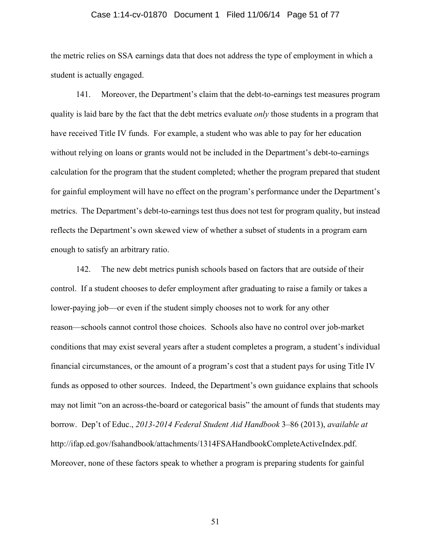#### Case 1:14-cv-01870 Document 1 Filed 11/06/14 Page 51 of 77

the metric relies on SSA earnings data that does not address the type of employment in which a student is actually engaged.

141. Moreover, the Department's claim that the debt-to-earnings test measures program quality is laid bare by the fact that the debt metrics evaluate *only* those students in a program that have received Title IV funds. For example, a student who was able to pay for her education without relying on loans or grants would not be included in the Department's debt-to-earnings calculation for the program that the student completed; whether the program prepared that student for gainful employment will have no effect on the program's performance under the Department's metrics. The Department's debt-to-earnings test thus does not test for program quality, but instead reflects the Department's own skewed view of whether a subset of students in a program earn enough to satisfy an arbitrary ratio.

142. The new debt metrics punish schools based on factors that are outside of their control. If a student chooses to defer employment after graduating to raise a family or takes a lower-paying job—or even if the student simply chooses not to work for any other reason—schools cannot control those choices. Schools also have no control over job-market conditions that may exist several years after a student completes a program, a student's individual financial circumstances, or the amount of a program's cost that a student pays for using Title IV funds as opposed to other sources. Indeed, the Department's own guidance explains that schools may not limit "on an across-the-board or categorical basis" the amount of funds that students may borrow. Dep't of Educ., *2013-2014 Federal Student Aid Handbook* 3–86 (2013), *available at*  http://ifap.ed.gov/fsahandbook/attachments/1314FSAHandbookCompleteActiveIndex.pdf. Moreover, none of these factors speak to whether a program is preparing students for gainful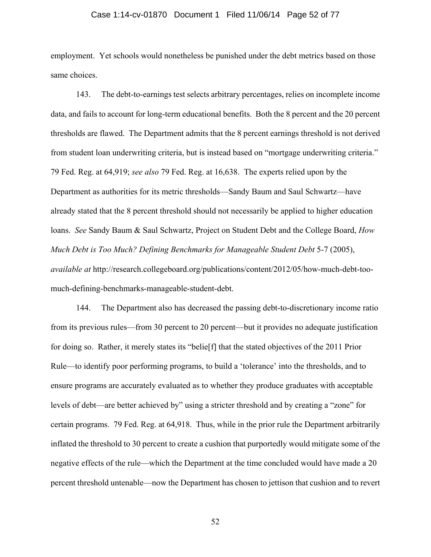#### Case 1:14-cv-01870 Document 1 Filed 11/06/14 Page 52 of 77

employment. Yet schools would nonetheless be punished under the debt metrics based on those same choices.

143. The debt-to-earnings test selects arbitrary percentages, relies on incomplete income data, and fails to account for long-term educational benefits. Both the 8 percent and the 20 percent thresholds are flawed. The Department admits that the 8 percent earnings threshold is not derived from student loan underwriting criteria, but is instead based on "mortgage underwriting criteria." 79 Fed. Reg. at 64,919; *see also* 79 Fed. Reg. at 16,638. The experts relied upon by the Department as authorities for its metric thresholds—Sandy Baum and Saul Schwartz—have already stated that the 8 percent threshold should not necessarily be applied to higher education loans. *See* Sandy Baum & Saul Schwartz, Project on Student Debt and the College Board, *How Much Debt is Too Much? Defining Benchmarks for Manageable Student Debt* 5-7 (2005), *available at* http://research.collegeboard.org/publications/content/2012/05/how-much-debt-toomuch-defining-benchmarks-manageable-student-debt.

144. The Department also has decreased the passing debt-to-discretionary income ratio from its previous rules—from 30 percent to 20 percent—but it provides no adequate justification for doing so. Rather, it merely states its "belie[f] that the stated objectives of the 2011 Prior Rule—to identify poor performing programs, to build a 'tolerance' into the thresholds, and to ensure programs are accurately evaluated as to whether they produce graduates with acceptable levels of debt—are better achieved by" using a stricter threshold and by creating a "zone" for certain programs. 79 Fed. Reg. at 64,918. Thus, while in the prior rule the Department arbitrarily inflated the threshold to 30 percent to create a cushion that purportedly would mitigate some of the negative effects of the rule—which the Department at the time concluded would have made a 20 percent threshold untenable—now the Department has chosen to jettison that cushion and to revert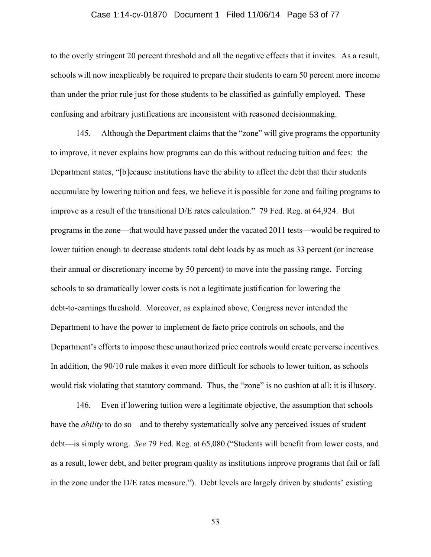#### Case 1:14-cv-01870 Document 1 Filed 11/06/14 Page 53 of 77

to the overly stringent 20 percent threshold and all the negative effects that it invites. As a result, schools will now inexplicably be required to prepare their students to earn 50 percent more income than under the prior rule just for those students to be classified as gainfully employed. These confusing and arbitrary justifications are inconsistent with reasoned decisionmaking.

145. Although the Department claims that the "zone" will give programs the opportunity to improve, it never explains how programs can do this without reducing tuition and fees: the Department states, "[b]ecause institutions have the ability to affect the debt that their students accumulate by lowering tuition and fees, we believe it is possible for zone and failing programs to improve as a result of the transitional D/E rates calculation." 79 Fed. Reg. at 64,924. But programs in the zone—that would have passed under the vacated 2011 tests—would be required to lower tuition enough to decrease students total debt loads by as much as 33 percent (or increase their annual or discretionary income by 50 percent) to move into the passing range. Forcing schools to so dramatically lower costs is not a legitimate justification for lowering the debt-to-earnings threshold. Moreover, as explained above, Congress never intended the Department to have the power to implement de facto price controls on schools, and the Department's efforts to impose these unauthorized price controls would create perverse incentives. In addition, the 90/10 rule makes it even more difficult for schools to lower tuition, as schools would risk violating that statutory command. Thus, the "zone" is no cushion at all; it is illusory.

146. Even if lowering tuition were a legitimate objective, the assumption that schools have the *ability* to do so—and to thereby systematically solve any perceived issues of student debt—is simply wrong. *See* 79 Fed. Reg. at 65,080 ("Students will benefit from lower costs, and as a result, lower debt, and better program quality as institutions improve programs that fail or fall in the zone under the D/E rates measure."). Debt levels are largely driven by students' existing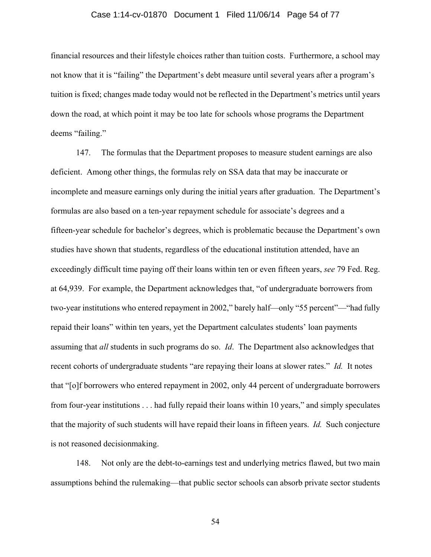#### Case 1:14-cv-01870 Document 1 Filed 11/06/14 Page 54 of 77

financial resources and their lifestyle choices rather than tuition costs. Furthermore, a school may not know that it is "failing" the Department's debt measure until several years after a program's tuition is fixed; changes made today would not be reflected in the Department's metrics until years down the road, at which point it may be too late for schools whose programs the Department deems "failing."

147. The formulas that the Department proposes to measure student earnings are also deficient. Among other things, the formulas rely on SSA data that may be inaccurate or incomplete and measure earnings only during the initial years after graduation. The Department's formulas are also based on a ten-year repayment schedule for associate's degrees and a fifteen-year schedule for bachelor's degrees, which is problematic because the Department's own studies have shown that students, regardless of the educational institution attended, have an exceedingly difficult time paying off their loans within ten or even fifteen years, *see* 79 Fed. Reg. at 64,939. For example, the Department acknowledges that, "of undergraduate borrowers from two-year institutions who entered repayment in 2002," barely half—only "55 percent"—"had fully repaid their loans" within ten years, yet the Department calculates students' loan payments assuming that *all* students in such programs do so. *Id*. The Department also acknowledges that recent cohorts of undergraduate students "are repaying their loans at slower rates." *Id.* It notes that "[o]f borrowers who entered repayment in 2002, only 44 percent of undergraduate borrowers from four-year institutions . . . had fully repaid their loans within 10 years," and simply speculates that the majority of such students will have repaid their loans in fifteen years. *Id.* Such conjecture is not reasoned decisionmaking.

148. Not only are the debt-to-earnings test and underlying metrics flawed, but two main assumptions behind the rulemaking—that public sector schools can absorb private sector students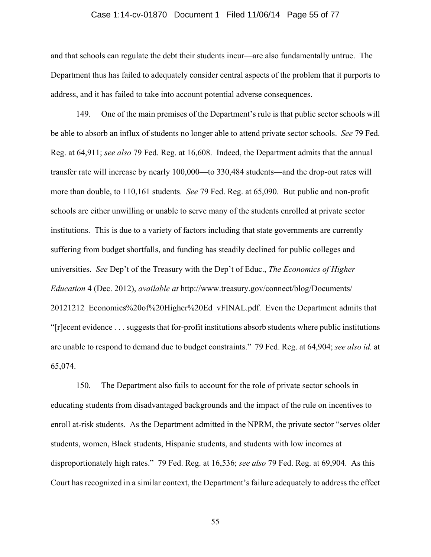#### Case 1:14-cv-01870 Document 1 Filed 11/06/14 Page 55 of 77

and that schools can regulate the debt their students incur—are also fundamentally untrue. The Department thus has failed to adequately consider central aspects of the problem that it purports to address, and it has failed to take into account potential adverse consequences.

149. One of the main premises of the Department's rule is that public sector schools will be able to absorb an influx of students no longer able to attend private sector schools. *See* 79 Fed. Reg. at 64,911; *see also* 79 Fed. Reg. at 16,608. Indeed, the Department admits that the annual transfer rate will increase by nearly 100,000—to 330,484 students—and the drop-out rates will more than double, to 110,161 students. *See* 79 Fed. Reg. at 65,090. But public and non-profit schools are either unwilling or unable to serve many of the students enrolled at private sector institutions. This is due to a variety of factors including that state governments are currently suffering from budget shortfalls, and funding has steadily declined for public colleges and universities. *See* Dep't of the Treasury with the Dep't of Educ., *The Economics of Higher Education* 4 (Dec. 2012), *available at* http://www.treasury.gov/connect/blog/Documents/ 20121212\_Economics%20of%20Higher%20Ed\_vFINAL.pdf. Even the Department admits that "[r]ecent evidence . . . suggests that for-profit institutions absorb students where public institutions are unable to respond to demand due to budget constraints." 79 Fed. Reg. at 64,904; *see also id.* at 65,074.

150. The Department also fails to account for the role of private sector schools in educating students from disadvantaged backgrounds and the impact of the rule on incentives to enroll at-risk students. As the Department admitted in the NPRM, the private sector "serves older students, women, Black students, Hispanic students, and students with low incomes at disproportionately high rates." 79 Fed. Reg. at 16,536; *see also* 79 Fed. Reg. at 69,904. As this Court has recognized in a similar context, the Department's failure adequately to address the effect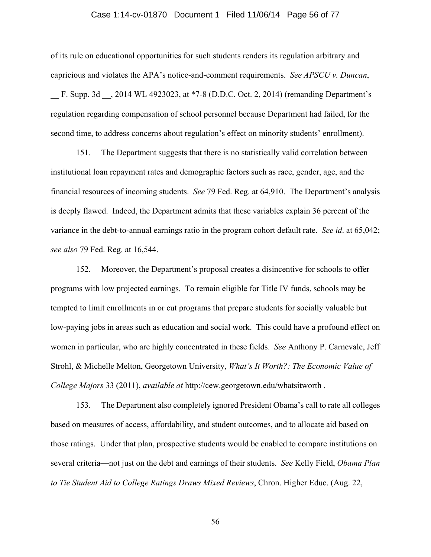#### Case 1:14-cv-01870 Document 1 Filed 11/06/14 Page 56 of 77

of its rule on educational opportunities for such students renders its regulation arbitrary and capricious and violates the APA's notice-and-comment requirements. *See APSCU v. Duncan*, \_\_ F. Supp. 3d \_\_, 2014 WL 4923023, at \*7-8 (D.D.C. Oct. 2, 2014) (remanding Department's regulation regarding compensation of school personnel because Department had failed, for the second time, to address concerns about regulation's effect on minority students' enrollment).

151. The Department suggests that there is no statistically valid correlation between institutional loan repayment rates and demographic factors such as race, gender, age, and the financial resources of incoming students. *See* 79 Fed. Reg. at 64,910. The Department's analysis is deeply flawed. Indeed, the Department admits that these variables explain 36 percent of the variance in the debt-to-annual earnings ratio in the program cohort default rate. *See id*. at 65,042; *see also* 79 Fed. Reg. at 16,544.

152. Moreover, the Department's proposal creates a disincentive for schools to offer programs with low projected earnings. To remain eligible for Title IV funds, schools may be tempted to limit enrollments in or cut programs that prepare students for socially valuable but low-paying jobs in areas such as education and social work. This could have a profound effect on women in particular, who are highly concentrated in these fields. *See* Anthony P. Carnevale, Jeff Strohl, & Michelle Melton, Georgetown University, *What's It Worth?: The Economic Value of College Majors* 33 (2011), *available at* http://cew.georgetown.edu/whatsitworth .

153. The Department also completely ignored President Obama's call to rate all colleges based on measures of access, affordability, and student outcomes, and to allocate aid based on those ratings. Under that plan, prospective students would be enabled to compare institutions on several criteria—not just on the debt and earnings of their students. *See* Kelly Field, *Obama Plan to Tie Student Aid to College Ratings Draws Mixed Reviews*, Chron. Higher Educ. (Aug. 22,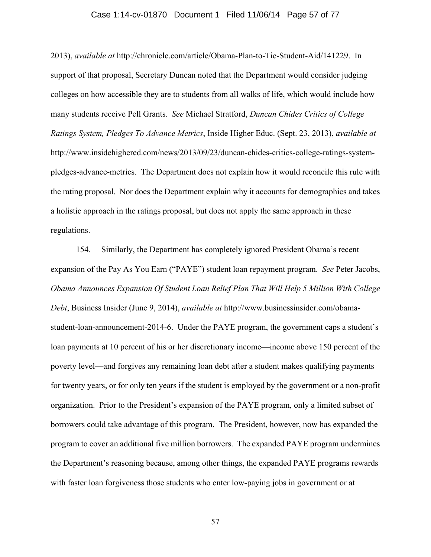#### Case 1:14-cv-01870 Document 1 Filed 11/06/14 Page 57 of 77

2013), *available at* http://chronicle.com/article/Obama-Plan-to-Tie-Student-Aid/141229. In support of that proposal, Secretary Duncan noted that the Department would consider judging colleges on how accessible they are to students from all walks of life, which would include how many students receive Pell Grants. *See* Michael Stratford, *Duncan Chides Critics of College Ratings System, Pledges To Advance Metrics*, Inside Higher Educ. (Sept. 23, 2013), *available at*  http://www.insidehighered.com/news/2013/09/23/duncan-chides-critics-college-ratings-systempledges-advance-metrics. The Department does not explain how it would reconcile this rule with the rating proposal. Nor does the Department explain why it accounts for demographics and takes a holistic approach in the ratings proposal, but does not apply the same approach in these regulations.

154. Similarly, the Department has completely ignored President Obama's recent expansion of the Pay As You Earn ("PAYE") student loan repayment program. *See* Peter Jacobs, *Obama Announces Expansion Of Student Loan Relief Plan That Will Help 5 Million With College Debt*, Business Insider (June 9, 2014), *available at* http://www.businessinsider.com/obamastudent-loan-announcement-2014-6. Under the PAYE program, the government caps a student's loan payments at 10 percent of his or her discretionary income—income above 150 percent of the poverty level—and forgives any remaining loan debt after a student makes qualifying payments for twenty years, or for only ten years if the student is employed by the government or a non-profit organization. Prior to the President's expansion of the PAYE program, only a limited subset of borrowers could take advantage of this program. The President, however, now has expanded the program to cover an additional five million borrowers. The expanded PAYE program undermines the Department's reasoning because, among other things, the expanded PAYE programs rewards with faster loan forgiveness those students who enter low-paying jobs in government or at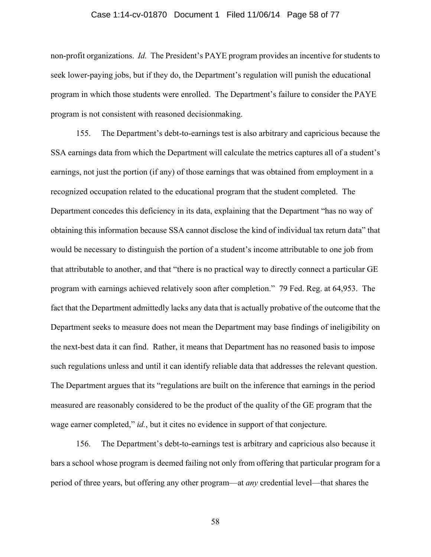#### Case 1:14-cv-01870 Document 1 Filed 11/06/14 Page 58 of 77

non-profit organizations. *Id.* The President's PAYE program provides an incentive for students to seek lower-paying jobs, but if they do, the Department's regulation will punish the educational program in which those students were enrolled. The Department's failure to consider the PAYE program is not consistent with reasoned decisionmaking.

155. The Department's debt-to-earnings test is also arbitrary and capricious because the SSA earnings data from which the Department will calculate the metrics captures all of a student's earnings, not just the portion (if any) of those earnings that was obtained from employment in a recognized occupation related to the educational program that the student completed. The Department concedes this deficiency in its data, explaining that the Department "has no way of obtaining this information because SSA cannot disclose the kind of individual tax return data" that would be necessary to distinguish the portion of a student's income attributable to one job from that attributable to another, and that "there is no practical way to directly connect a particular GE program with earnings achieved relatively soon after completion." 79 Fed. Reg. at 64,953. The fact that the Department admittedly lacks any data that is actually probative of the outcome that the Department seeks to measure does not mean the Department may base findings of ineligibility on the next-best data it can find. Rather, it means that Department has no reasoned basis to impose such regulations unless and until it can identify reliable data that addresses the relevant question. The Department argues that its "regulations are built on the inference that earnings in the period measured are reasonably considered to be the product of the quality of the GE program that the wage earner completed," *id.*, but it cites no evidence in support of that conjecture.

156. The Department's debt-to-earnings test is arbitrary and capricious also because it bars a school whose program is deemed failing not only from offering that particular program for a period of three years, but offering any other program—at *any* credential level—that shares the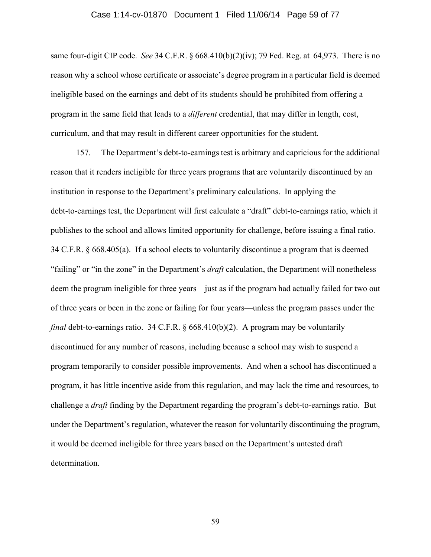#### Case 1:14-cv-01870 Document 1 Filed 11/06/14 Page 59 of 77

same four-digit CIP code. *See* 34 C.F.R. § 668.410(b)(2)(iv); 79 Fed. Reg. at 64,973. There is no reason why a school whose certificate or associate's degree program in a particular field is deemed ineligible based on the earnings and debt of its students should be prohibited from offering a program in the same field that leads to a *different* credential, that may differ in length, cost, curriculum, and that may result in different career opportunities for the student.

157. The Department's debt-to-earnings test is arbitrary and capricious for the additional reason that it renders ineligible for three years programs that are voluntarily discontinued by an institution in response to the Department's preliminary calculations. In applying the debt-to-earnings test, the Department will first calculate a "draft" debt-to-earnings ratio, which it publishes to the school and allows limited opportunity for challenge, before issuing a final ratio. 34 C.F.R. § 668.405(a). If a school elects to voluntarily discontinue a program that is deemed "failing" or "in the zone" in the Department's *draft* calculation, the Department will nonetheless deem the program ineligible for three years—just as if the program had actually failed for two out of three years or been in the zone or failing for four years—unless the program passes under the *final* debt-to-earnings ratio. 34 C.F.R. § 668.410(b)(2). A program may be voluntarily discontinued for any number of reasons, including because a school may wish to suspend a program temporarily to consider possible improvements. And when a school has discontinued a program, it has little incentive aside from this regulation, and may lack the time and resources, to challenge a *draft* finding by the Department regarding the program's debt-to-earnings ratio. But under the Department's regulation, whatever the reason for voluntarily discontinuing the program, it would be deemed ineligible for three years based on the Department's untested draft determination.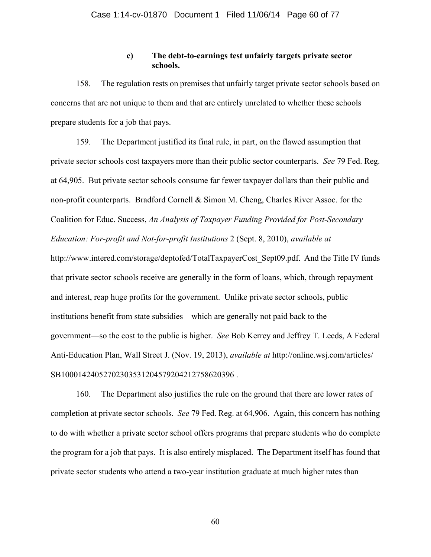## **c) The debt-to-earnings test unfairly targets private sector schools.**

158. The regulation rests on premises that unfairly target private sector schools based on concerns that are not unique to them and that are entirely unrelated to whether these schools prepare students for a job that pays.

159. The Department justified its final rule, in part, on the flawed assumption that private sector schools cost taxpayers more than their public sector counterparts. *See* 79 Fed. Reg. at 64,905. But private sector schools consume far fewer taxpayer dollars than their public and non-profit counterparts. Bradford Cornell & Simon M. Cheng, Charles River Assoc. for the Coalition for Educ. Success, *An Analysis of Taxpayer Funding Provided for Post-Secondary Education: For-profit and Not-for-profit Institutions* 2 (Sept. 8, 2010), *available at*  http://www.intered.com/storage/deptofed/TotalTaxpayerCost Sept09.pdf. And the Title IV funds that private sector schools receive are generally in the form of loans, which, through repayment and interest, reap huge profits for the government. Unlike private sector schools, public institutions benefit from state subsidies—which are generally not paid back to the government—so the cost to the public is higher. *See* Bob Kerrey and Jeffrey T. Leeds, A Federal Anti-Education Plan, Wall Street J. (Nov. 19, 2013), *available at* http://online.wsj.com/articles/ SB10001424052702303531204579204212758620396 .

160. The Department also justifies the rule on the ground that there are lower rates of completion at private sector schools. *See* 79 Fed. Reg. at 64,906. Again, this concern has nothing to do with whether a private sector school offers programs that prepare students who do complete the program for a job that pays. It is also entirely misplaced. The Department itself has found that private sector students who attend a two-year institution graduate at much higher rates than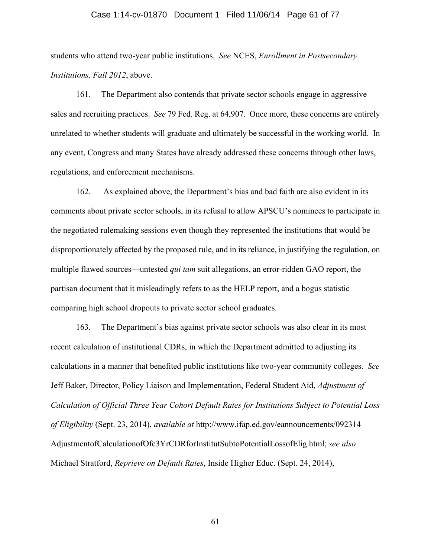#### Case 1:14-cv-01870 Document 1 Filed 11/06/14 Page 61 of 77

students who attend two-year public institutions. *See* NCES, *Enrollment in Postsecondary Institutions, Fall 2012*, above.

161. The Department also contends that private sector schools engage in aggressive sales and recruiting practices. *See* 79 Fed. Reg. at 64,907. Once more, these concerns are entirely unrelated to whether students will graduate and ultimately be successful in the working world. In any event, Congress and many States have already addressed these concerns through other laws, regulations, and enforcement mechanisms.

162. As explained above, the Department's bias and bad faith are also evident in its comments about private sector schools, in its refusal to allow APSCU's nominees to participate in the negotiated rulemaking sessions even though they represented the institutions that would be disproportionately affected by the proposed rule, and in its reliance, in justifying the regulation, on multiple flawed sources—untested *qui tam* suit allegations, an error-ridden GAO report, the partisan document that it misleadingly refers to as the HELP report, and a bogus statistic comparing high school dropouts to private sector school graduates.

163. The Department's bias against private sector schools was also clear in its most recent calculation of institutional CDRs, in which the Department admitted to adjusting its calculations in a manner that benefited public institutions like two-year community colleges. *See* Jeff Baker, Director, Policy Liaison and Implementation, Federal Student Aid, *Adjustment of Calculation of Official Three Year Cohort Default Rates for Institutions Subject to Potential Loss of Eligibility* (Sept. 23, 2014), *available at* http://www.ifap.ed.gov/eannouncements/092314 AdjustmentofCalculationofOfc3YrCDRforInstitutSubtoPotentialLossofElig.html; *see also* Michael Stratford, *Reprieve on Default Rates*, Inside Higher Educ. (Sept. 24, 2014),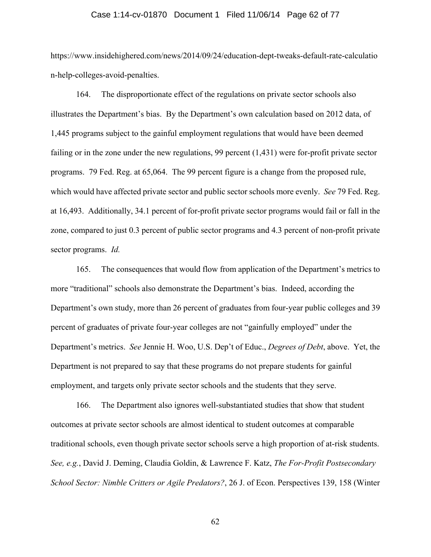#### Case 1:14-cv-01870 Document 1 Filed 11/06/14 Page 62 of 77

https://www.insidehighered.com/news/2014/09/24/education-dept-tweaks-default-rate-calculatio n-help-colleges-avoid-penalties.

164. The disproportionate effect of the regulations on private sector schools also illustrates the Department's bias. By the Department's own calculation based on 2012 data, of 1,445 programs subject to the gainful employment regulations that would have been deemed failing or in the zone under the new regulations, 99 percent (1,431) were for-profit private sector programs. 79 Fed. Reg. at 65,064. The 99 percent figure is a change from the proposed rule, which would have affected private sector and public sector schools more evenly. *See* 79 Fed. Reg. at 16,493. Additionally, 34.1 percent of for-profit private sector programs would fail or fall in the zone, compared to just 0.3 percent of public sector programs and 4.3 percent of non-profit private sector programs. *Id.*

165. The consequences that would flow from application of the Department's metrics to more "traditional" schools also demonstrate the Department's bias. Indeed, according the Department's own study, more than 26 percent of graduates from four-year public colleges and 39 percent of graduates of private four-year colleges are not "gainfully employed" under the Department's metrics. *See* Jennie H. Woo, U.S. Dep't of Educ., *Degrees of Debt*, above. Yet, the Department is not prepared to say that these programs do not prepare students for gainful employment, and targets only private sector schools and the students that they serve.

166. The Department also ignores well-substantiated studies that show that student outcomes at private sector schools are almost identical to student outcomes at comparable traditional schools, even though private sector schools serve a high proportion of at-risk students. *See, e.g.*, David J. Deming, Claudia Goldin, & Lawrence F. Katz, *The For-Profit Postsecondary School Sector: Nimble Critters or Agile Predators?*, 26 J. of Econ. Perspectives 139, 158 (Winter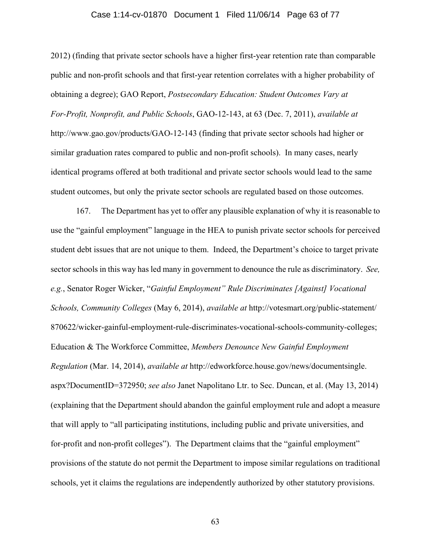#### Case 1:14-cv-01870 Document 1 Filed 11/06/14 Page 63 of 77

2012) (finding that private sector schools have a higher first-year retention rate than comparable public and non-profit schools and that first-year retention correlates with a higher probability of obtaining a degree); GAO Report, *Postsecondary Education: Student Outcomes Vary at For-Profit, Nonprofit, and Public Schools*, GAO-12-143, at 63 (Dec. 7, 2011), *available at*  http://www.gao.gov/products/GAO-12-143 (finding that private sector schools had higher or similar graduation rates compared to public and non-profit schools). In many cases, nearly identical programs offered at both traditional and private sector schools would lead to the same student outcomes, but only the private sector schools are regulated based on those outcomes.

167. The Department has yet to offer any plausible explanation of why it is reasonable to use the "gainful employment" language in the HEA to punish private sector schools for perceived student debt issues that are not unique to them. Indeed, the Department's choice to target private sector schools in this way has led many in government to denounce the rule as discriminatory. *See, e.g.*, Senator Roger Wicker, "*Gainful Employment" Rule Discriminates [Against] Vocational Schools, Community Colleges* (May 6, 2014), *available at* http://votesmart.org/public-statement/ 870622/wicker-gainful-employment-rule-discriminates-vocational-schools-community-colleges; Education & The Workforce Committee, *Members Denounce New Gainful Employment Regulation* (Mar. 14, 2014), *available at* http://edworkforce.house.gov/news/documentsingle. aspx?DocumentID=372950; *see also* Janet Napolitano Ltr. to Sec. Duncan, et al. (May 13, 2014) (explaining that the Department should abandon the gainful employment rule and adopt a measure that will apply to "all participating institutions, including public and private universities, and for-profit and non-profit colleges"). The Department claims that the "gainful employment" provisions of the statute do not permit the Department to impose similar regulations on traditional schools, yet it claims the regulations are independently authorized by other statutory provisions.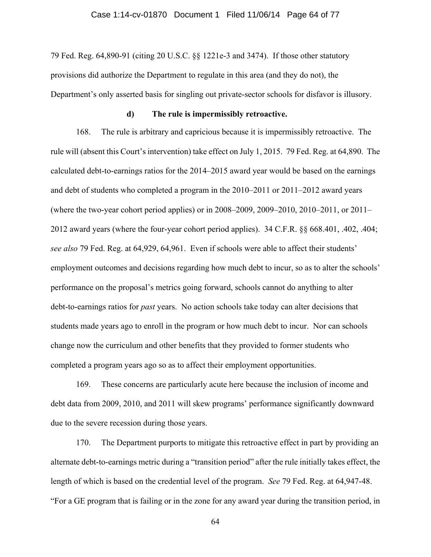#### Case 1:14-cv-01870 Document 1 Filed 11/06/14 Page 64 of 77

79 Fed. Reg. 64,890-91 (citing 20 U.S.C. §§ 1221e-3 and 3474). If those other statutory provisions did authorize the Department to regulate in this area (and they do not), the Department's only asserted basis for singling out private-sector schools for disfavor is illusory.

#### **d) The rule is impermissibly retroactive.**

168. The rule is arbitrary and capricious because it is impermissibly retroactive. The rule will (absent this Court's intervention) take effect on July 1, 2015. 79 Fed. Reg. at 64,890. The calculated debt-to-earnings ratios for the 2014–2015 award year would be based on the earnings and debt of students who completed a program in the 2010–2011 or 2011–2012 award years (where the two-year cohort period applies) or in 2008–2009, 2009–2010, 2010–2011, or 2011– 2012 award years (where the four-year cohort period applies). 34 C.F.R. §§ 668.401, .402, .404; *see also* 79 Fed. Reg. at 64,929, 64,961. Even if schools were able to affect their students' employment outcomes and decisions regarding how much debt to incur, so as to alter the schools' performance on the proposal's metrics going forward, schools cannot do anything to alter debt-to-earnings ratios for *past* years. No action schools take today can alter decisions that students made years ago to enroll in the program or how much debt to incur. Nor can schools change now the curriculum and other benefits that they provided to former students who completed a program years ago so as to affect their employment opportunities.

169. These concerns are particularly acute here because the inclusion of income and debt data from 2009, 2010, and 2011 will skew programs' performance significantly downward due to the severe recession during those years.

170. The Department purports to mitigate this retroactive effect in part by providing an alternate debt-to-earnings metric during a "transition period" after the rule initially takes effect, the length of which is based on the credential level of the program. *See* 79 Fed. Reg. at 64,947-48. "For a GE program that is failing or in the zone for any award year during the transition period, in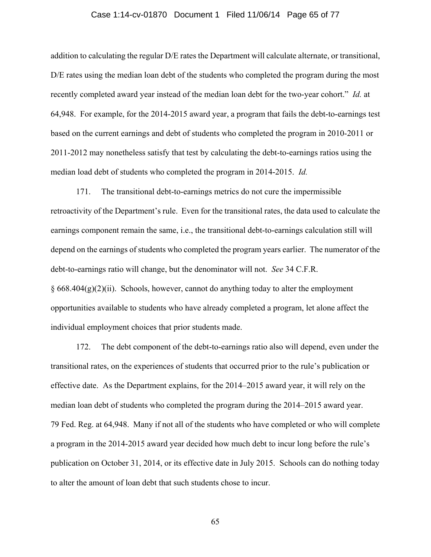#### Case 1:14-cv-01870 Document 1 Filed 11/06/14 Page 65 of 77

addition to calculating the regular D/E rates the Department will calculate alternate, or transitional, D/E rates using the median loan debt of the students who completed the program during the most recently completed award year instead of the median loan debt for the two-year cohort." *Id.* at 64,948. For example, for the 2014-2015 award year, a program that fails the debt-to-earnings test based on the current earnings and debt of students who completed the program in 2010-2011 or 2011-2012 may nonetheless satisfy that test by calculating the debt-to-earnings ratios using the median load debt of students who completed the program in 2014-2015. *Id.*

171. The transitional debt-to-earnings metrics do not cure the impermissible retroactivity of the Department's rule. Even for the transitional rates, the data used to calculate the earnings component remain the same, i.e., the transitional debt-to-earnings calculation still will depend on the earnings of students who completed the program years earlier. The numerator of the debt-to-earnings ratio will change, but the denominator will not. *See* 34 C.F.R.  $§ 668.404(g)(2)(ii)$ . Schools, however, cannot do anything today to alter the employment opportunities available to students who have already completed a program, let alone affect the individual employment choices that prior students made.

172. The debt component of the debt-to-earnings ratio also will depend, even under the transitional rates, on the experiences of students that occurred prior to the rule's publication or effective date. As the Department explains, for the 2014–2015 award year, it will rely on the median loan debt of students who completed the program during the 2014–2015 award year. 79 Fed. Reg. at 64,948. Many if not all of the students who have completed or who will complete a program in the 2014-2015 award year decided how much debt to incur long before the rule's publication on October 31, 2014, or its effective date in July 2015. Schools can do nothing today to alter the amount of loan debt that such students chose to incur.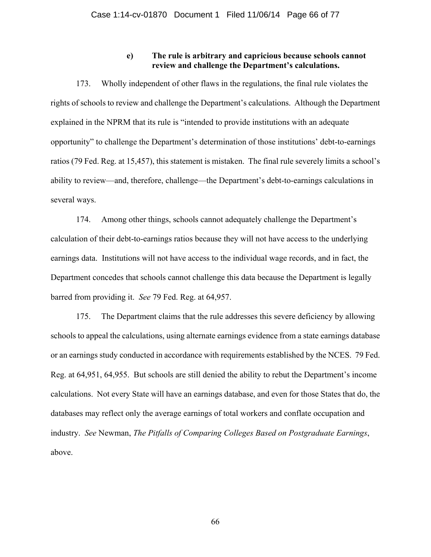# **e) The rule is arbitrary and capricious because schools cannot review and challenge the Department's calculations.**

173. Wholly independent of other flaws in the regulations, the final rule violates the rights of schools to review and challenge the Department's calculations. Although the Department explained in the NPRM that its rule is "intended to provide institutions with an adequate opportunity" to challenge the Department's determination of those institutions' debt-to-earnings ratios (79 Fed. Reg. at 15,457), this statement is mistaken. The final rule severely limits a school's ability to review—and, therefore, challenge—the Department's debt-to-earnings calculations in several ways.

174. Among other things, schools cannot adequately challenge the Department's calculation of their debt-to-earnings ratios because they will not have access to the underlying earnings data. Institutions will not have access to the individual wage records, and in fact, the Department concedes that schools cannot challenge this data because the Department is legally barred from providing it. *See* 79 Fed. Reg. at 64,957.

175. The Department claims that the rule addresses this severe deficiency by allowing schools to appeal the calculations, using alternate earnings evidence from a state earnings database or an earnings study conducted in accordance with requirements established by the NCES. 79 Fed. Reg. at 64,951, 64,955. But schools are still denied the ability to rebut the Department's income calculations. Not every State will have an earnings database, and even for those States that do, the databases may reflect only the average earnings of total workers and conflate occupation and industry. *See* Newman, *The Pitfalls of Comparing Colleges Based on Postgraduate Earnings*, above.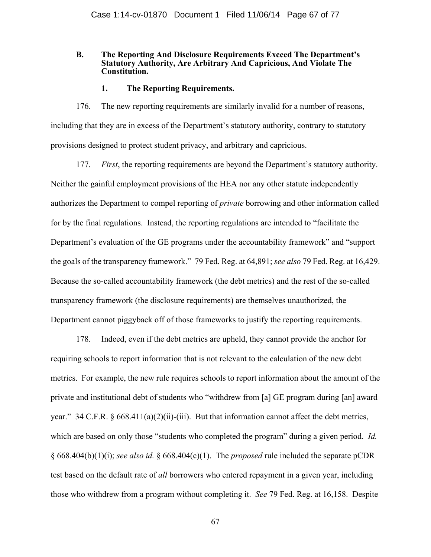## **B. The Reporting And Disclosure Requirements Exceed The Department's Statutory Authority, Are Arbitrary And Capricious, And Violate The Constitution.**

# **1. The Reporting Requirements.**

176. The new reporting requirements are similarly invalid for a number of reasons, including that they are in excess of the Department's statutory authority, contrary to statutory provisions designed to protect student privacy, and arbitrary and capricious.

177. *First*, the reporting requirements are beyond the Department's statutory authority. Neither the gainful employment provisions of the HEA nor any other statute independently authorizes the Department to compel reporting of *private* borrowing and other information called for by the final regulations. Instead, the reporting regulations are intended to "facilitate the Department's evaluation of the GE programs under the accountability framework" and "support the goals of the transparency framework." 79 Fed. Reg. at 64,891; *see also* 79 Fed. Reg. at 16,429. Because the so-called accountability framework (the debt metrics) and the rest of the so-called transparency framework (the disclosure requirements) are themselves unauthorized, the Department cannot piggyback off of those frameworks to justify the reporting requirements.

178. Indeed, even if the debt metrics are upheld, they cannot provide the anchor for requiring schools to report information that is not relevant to the calculation of the new debt metrics. For example, the new rule requires schools to report information about the amount of the private and institutional debt of students who "withdrew from [a] GE program during [an] award year." 34 C.F.R. § 668.411(a)(2)(ii)-(iii). But that information cannot affect the debt metrics, which are based on only those "students who completed the program" during a given period. *Id.*  § 668.404(b)(1)(i); *see also id.* § 668.404(c)(1). The *proposed* rule included the separate pCDR test based on the default rate of *all* borrowers who entered repayment in a given year, including those who withdrew from a program without completing it. *See* 79 Fed. Reg. at 16,158. Despite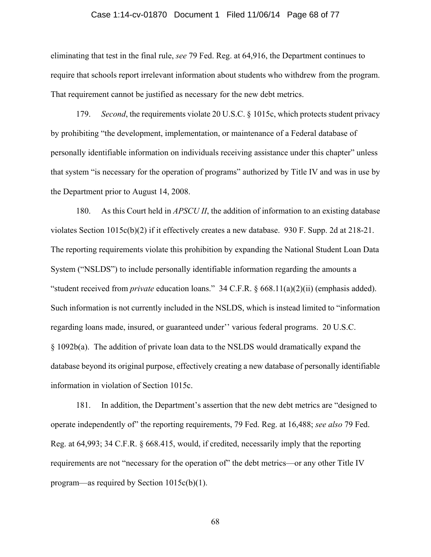#### Case 1:14-cv-01870 Document 1 Filed 11/06/14 Page 68 of 77

eliminating that test in the final rule, *see* 79 Fed. Reg. at 64,916, the Department continues to require that schools report irrelevant information about students who withdrew from the program. That requirement cannot be justified as necessary for the new debt metrics.

179. *Second*, the requirements violate 20 U.S.C. § 1015c, which protects student privacy by prohibiting "the development, implementation, or maintenance of a Federal database of personally identifiable information on individuals receiving assistance under this chapter" unless that system "is necessary for the operation of programs" authorized by Title IV and was in use by the Department prior to August 14, 2008.

180. As this Court held in *APSCU II*, the addition of information to an existing database violates Section 1015c(b)(2) if it effectively creates a new database. 930 F. Supp. 2d at 218-21. The reporting requirements violate this prohibition by expanding the National Student Loan Data System ("NSLDS") to include personally identifiable information regarding the amounts a "student received from *private* education loans." 34 C.F.R. § 668.11(a)(2)(ii) (emphasis added). Such information is not currently included in the NSLDS, which is instead limited to "information regarding loans made, insured, or guaranteed under'' various federal programs. 20 U.S.C. § 1092b(a). The addition of private loan data to the NSLDS would dramatically expand the database beyond its original purpose, effectively creating a new database of personally identifiable information in violation of Section 1015c.

181. In addition, the Department's assertion that the new debt metrics are "designed to operate independently of" the reporting requirements, 79 Fed. Reg. at 16,488; *see also* 79 Fed. Reg. at 64,993; 34 C.F.R. § 668.415, would, if credited, necessarily imply that the reporting requirements are not "necessary for the operation of" the debt metrics—or any other Title IV program—as required by Section 1015c(b)(1).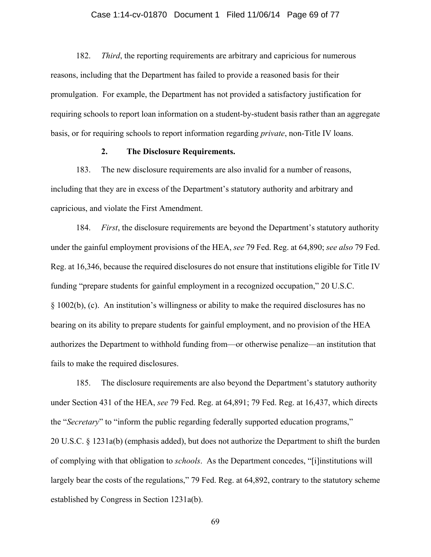#### Case 1:14-cv-01870 Document 1 Filed 11/06/14 Page 69 of 77

182. *Third*, the reporting requirements are arbitrary and capricious for numerous reasons, including that the Department has failed to provide a reasoned basis for their promulgation. For example, the Department has not provided a satisfactory justification for requiring schools to report loan information on a student-by-student basis rather than an aggregate basis, or for requiring schools to report information regarding *private*, non-Title IV loans.

## **2. The Disclosure Requirements.**

183. The new disclosure requirements are also invalid for a number of reasons, including that they are in excess of the Department's statutory authority and arbitrary and capricious, and violate the First Amendment.

184. *First*, the disclosure requirements are beyond the Department's statutory authority under the gainful employment provisions of the HEA, *see* 79 Fed. Reg. at 64,890; *see also* 79 Fed. Reg. at 16,346, because the required disclosures do not ensure that institutions eligible for Title IV funding "prepare students for gainful employment in a recognized occupation," 20 U.S.C. § 1002(b), (c). An institution's willingness or ability to make the required disclosures has no bearing on its ability to prepare students for gainful employment, and no provision of the HEA authorizes the Department to withhold funding from—or otherwise penalize—an institution that fails to make the required disclosures.

185. The disclosure requirements are also beyond the Department's statutory authority under Section 431 of the HEA, *see* 79 Fed. Reg. at 64,891; 79 Fed. Reg. at 16,437, which directs the "*Secretary*" to "inform the public regarding federally supported education programs," 20 U.S.C. § 1231a(b) (emphasis added), but does not authorize the Department to shift the burden of complying with that obligation to *schools*. As the Department concedes, "[i]institutions will largely bear the costs of the regulations," 79 Fed. Reg. at 64,892, contrary to the statutory scheme established by Congress in Section 1231a(b).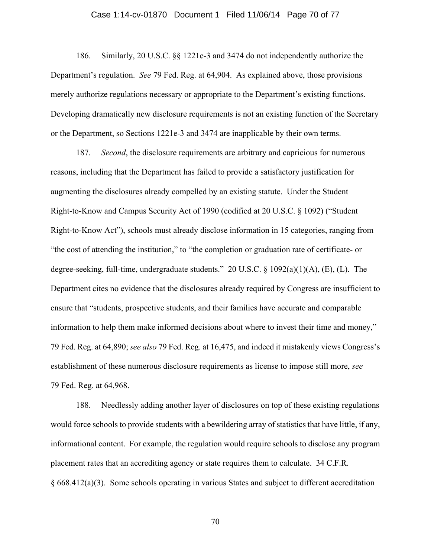#### Case 1:14-cv-01870 Document 1 Filed 11/06/14 Page 70 of 77

186. Similarly, 20 U.S.C. §§ 1221e-3 and 3474 do not independently authorize the Department's regulation. *See* 79 Fed. Reg. at 64,904. As explained above, those provisions merely authorize regulations necessary or appropriate to the Department's existing functions. Developing dramatically new disclosure requirements is not an existing function of the Secretary or the Department, so Sections 1221e-3 and 3474 are inapplicable by their own terms.

187. *Second*, the disclosure requirements are arbitrary and capricious for numerous reasons, including that the Department has failed to provide a satisfactory justification for augmenting the disclosures already compelled by an existing statute. Under the Student Right-to-Know and Campus Security Act of 1990 (codified at 20 U.S.C. § 1092) ("Student Right-to-Know Act"), schools must already disclose information in 15 categories, ranging from "the cost of attending the institution," to "the completion or graduation rate of certificate- or degree-seeking, full-time, undergraduate students." 20 U.S.C. § 1092(a)(1)(A), (E), (L). The Department cites no evidence that the disclosures already required by Congress are insufficient to ensure that "students, prospective students, and their families have accurate and comparable information to help them make informed decisions about where to invest their time and money," 79 Fed. Reg. at 64,890; *see also* 79 Fed. Reg. at 16,475, and indeed it mistakenly views Congress's establishment of these numerous disclosure requirements as license to impose still more, *see*  79 Fed. Reg. at 64,968.

188. Needlessly adding another layer of disclosures on top of these existing regulations would force schools to provide students with a bewildering array of statistics that have little, if any, informational content. For example, the regulation would require schools to disclose any program placement rates that an accrediting agency or state requires them to calculate. 34 C.F.R. § 668.412(a)(3). Some schools operating in various States and subject to different accreditation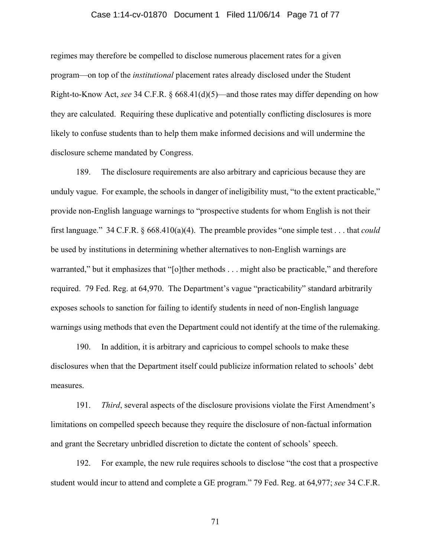#### Case 1:14-cv-01870 Document 1 Filed 11/06/14 Page 71 of 77

regimes may therefore be compelled to disclose numerous placement rates for a given program—on top of the *institutional* placement rates already disclosed under the Student Right-to-Know Act, *see* 34 C.F.R. § 668.41(d)(5)—and those rates may differ depending on how they are calculated. Requiring these duplicative and potentially conflicting disclosures is more likely to confuse students than to help them make informed decisions and will undermine the disclosure scheme mandated by Congress.

189. The disclosure requirements are also arbitrary and capricious because they are unduly vague. For example, the schools in danger of ineligibility must, "to the extent practicable," provide non-English language warnings to "prospective students for whom English is not their first language." 34 C.F.R. § 668.410(a)(4). The preamble provides "one simple test . . . that *could*  be used by institutions in determining whether alternatives to non-English warnings are warranted," but it emphasizes that "[o]ther methods . . . might also be practicable," and therefore required. 79 Fed. Reg. at 64,970. The Department's vague "practicability" standard arbitrarily exposes schools to sanction for failing to identify students in need of non-English language warnings using methods that even the Department could not identify at the time of the rulemaking.

190. In addition, it is arbitrary and capricious to compel schools to make these disclosures when that the Department itself could publicize information related to schools' debt measures.

191. *Third*, several aspects of the disclosure provisions violate the First Amendment's limitations on compelled speech because they require the disclosure of non-factual information and grant the Secretary unbridled discretion to dictate the content of schools' speech.

192. For example, the new rule requires schools to disclose "the cost that a prospective student would incur to attend and complete a GE program." 79 Fed. Reg. at 64,977; *see* 34 C.F.R.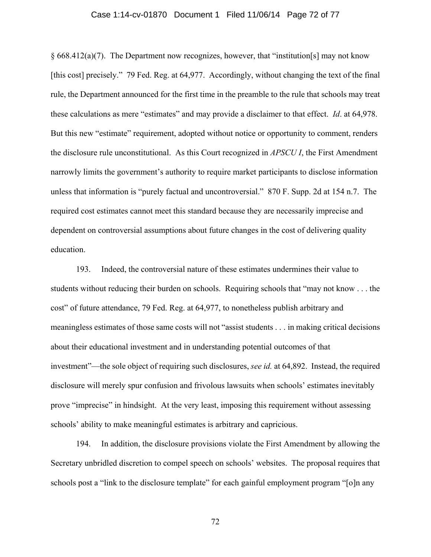#### Case 1:14-cv-01870 Document 1 Filed 11/06/14 Page 72 of 77

§ 668.412(a)(7). The Department now recognizes, however, that "institution[s] may not know [this cost] precisely." 79 Fed. Reg. at 64,977. Accordingly, without changing the text of the final rule, the Department announced for the first time in the preamble to the rule that schools may treat these calculations as mere "estimates" and may provide a disclaimer to that effect. *Id*. at 64,978. But this new "estimate" requirement, adopted without notice or opportunity to comment, renders the disclosure rule unconstitutional. As this Court recognized in *APSCU I*, the First Amendment narrowly limits the government's authority to require market participants to disclose information unless that information is "purely factual and uncontroversial." 870 F. Supp. 2d at 154 n.7. The required cost estimates cannot meet this standard because they are necessarily imprecise and dependent on controversial assumptions about future changes in the cost of delivering quality education.

193. Indeed, the controversial nature of these estimates undermines their value to students without reducing their burden on schools. Requiring schools that "may not know . . . the cost" of future attendance, 79 Fed. Reg. at 64,977, to nonetheless publish arbitrary and meaningless estimates of those same costs will not "assist students . . . in making critical decisions about their educational investment and in understanding potential outcomes of that investment"—the sole object of requiring such disclosures, *see id.* at 64,892. Instead, the required disclosure will merely spur confusion and frivolous lawsuits when schools' estimates inevitably prove "imprecise" in hindsight. At the very least, imposing this requirement without assessing schools' ability to make meaningful estimates is arbitrary and capricious.

194. In addition, the disclosure provisions violate the First Amendment by allowing the Secretary unbridled discretion to compel speech on schools' websites. The proposal requires that schools post a "link to the disclosure template" for each gainful employment program "[o]n any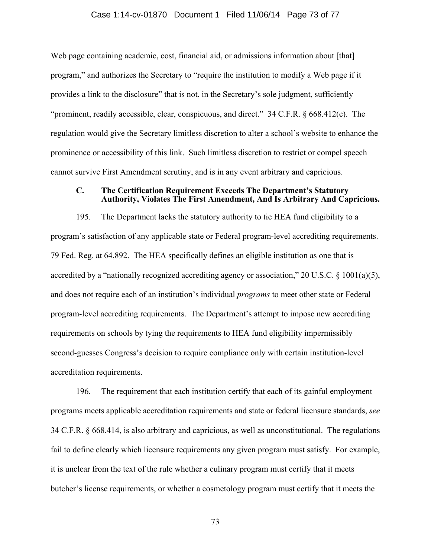#### Case 1:14-cv-01870 Document 1 Filed 11/06/14 Page 73 of 77

Web page containing academic, cost, financial aid, or admissions information about [that] program," and authorizes the Secretary to "require the institution to modify a Web page if it provides a link to the disclosure" that is not, in the Secretary's sole judgment, sufficiently "prominent, readily accessible, clear, conspicuous, and direct." 34 C.F.R. § 668.412(c). The regulation would give the Secretary limitless discretion to alter a school's website to enhance the prominence or accessibility of this link. Such limitless discretion to restrict or compel speech cannot survive First Amendment scrutiny, and is in any event arbitrary and capricious.

### **C. The Certification Requirement Exceeds The Department's Statutory Authority, Violates The First Amendment, And Is Arbitrary And Capricious.**

195. The Department lacks the statutory authority to tie HEA fund eligibility to a program's satisfaction of any applicable state or Federal program-level accrediting requirements. 79 Fed. Reg. at 64,892. The HEA specifically defines an eligible institution as one that is accredited by a "nationally recognized accrediting agency or association," 20 U.S.C.  $\S$  1001(a)(5), and does not require each of an institution's individual *programs* to meet other state or Federal program-level accrediting requirements. The Department's attempt to impose new accrediting requirements on schools by tying the requirements to HEA fund eligibility impermissibly second-guesses Congress's decision to require compliance only with certain institution-level accreditation requirements.

196. The requirement that each institution certify that each of its gainful employment programs meets applicable accreditation requirements and state or federal licensure standards, *see* 34 C.F.R. § 668.414, is also arbitrary and capricious, as well as unconstitutional. The regulations fail to define clearly which licensure requirements any given program must satisfy. For example, it is unclear from the text of the rule whether a culinary program must certify that it meets butcher's license requirements, or whether a cosmetology program must certify that it meets the

73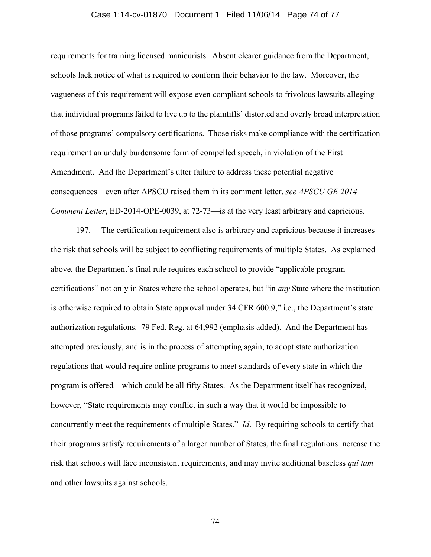#### Case 1:14-cv-01870 Document 1 Filed 11/06/14 Page 74 of 77

requirements for training licensed manicurists. Absent clearer guidance from the Department, schools lack notice of what is required to conform their behavior to the law. Moreover, the vagueness of this requirement will expose even compliant schools to frivolous lawsuits alleging that individual programs failed to live up to the plaintiffs' distorted and overly broad interpretation of those programs' compulsory certifications. Those risks make compliance with the certification requirement an unduly burdensome form of compelled speech, in violation of the First Amendment. And the Department's utter failure to address these potential negative consequences—even after APSCU raised them in its comment letter, *see APSCU GE 2014 Comment Letter*, ED-2014-OPE-0039, at 72-73—is at the very least arbitrary and capricious.

197. The certification requirement also is arbitrary and capricious because it increases the risk that schools will be subject to conflicting requirements of multiple States. As explained above, the Department's final rule requires each school to provide "applicable program certifications" not only in States where the school operates, but "in *any* State where the institution is otherwise required to obtain State approval under 34 CFR 600.9," i.e., the Department's state authorization regulations. 79 Fed. Reg. at 64,992 (emphasis added). And the Department has attempted previously, and is in the process of attempting again, to adopt state authorization regulations that would require online programs to meet standards of every state in which the program is offered—which could be all fifty States. As the Department itself has recognized, however, "State requirements may conflict in such a way that it would be impossible to concurrently meet the requirements of multiple States." *Id*. By requiring schools to certify that their programs satisfy requirements of a larger number of States, the final regulations increase the risk that schools will face inconsistent requirements, and may invite additional baseless *qui tam* and other lawsuits against schools.

74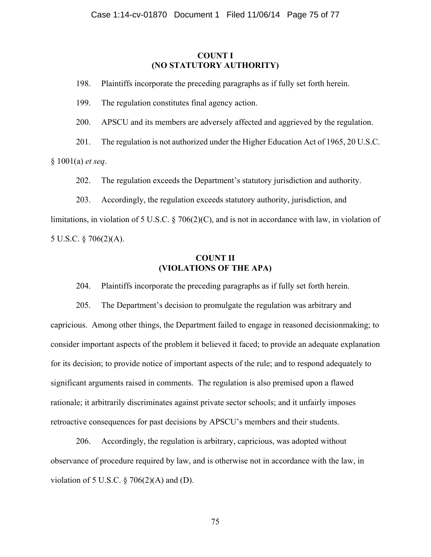### **COUNT I (NO STATUTORY AUTHORITY)**

198. Plaintiffs incorporate the preceding paragraphs as if fully set forth herein.

199. The regulation constitutes final agency action.

200. APSCU and its members are adversely affected and aggrieved by the regulation.

201. The regulation is not authorized under the Higher Education Act of 1965, 20 U.S.C.

§ 1001(a) *et seq*.

202. The regulation exceeds the Department's statutory jurisdiction and authority.

203. Accordingly, the regulation exceeds statutory authority, jurisdiction, and limitations, in violation of 5 U.S.C. § 706(2)(C), and is not in accordance with law, in violation of 5 U.S.C. § 706(2)(A).

## **COUNT II (VIOLATIONS OF THE APA)**

204. Plaintiffs incorporate the preceding paragraphs as if fully set forth herein.

205. The Department's decision to promulgate the regulation was arbitrary and capricious. Among other things, the Department failed to engage in reasoned decisionmaking; to consider important aspects of the problem it believed it faced; to provide an adequate explanation for its decision; to provide notice of important aspects of the rule; and to respond adequately to significant arguments raised in comments. The regulation is also premised upon a flawed rationale; it arbitrarily discriminates against private sector schools; and it unfairly imposes retroactive consequences for past decisions by APSCU's members and their students.

206. Accordingly, the regulation is arbitrary, capricious, was adopted without observance of procedure required by law, and is otherwise not in accordance with the law, in violation of 5 U.S.C.  $\S$  706(2)(A) and (D).

75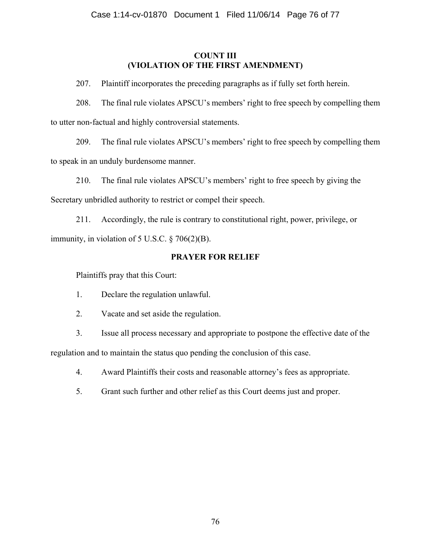# **COUNT III (VIOLATION OF THE FIRST AMENDMENT)**

207. Plaintiff incorporates the preceding paragraphs as if fully set forth herein.

208. The final rule violates APSCU's members' right to free speech by compelling them to utter non-factual and highly controversial statements.

209. The final rule violates APSCU's members' right to free speech by compelling them to speak in an unduly burdensome manner.

210. The final rule violates APSCU's members' right to free speech by giving the Secretary unbridled authority to restrict or compel their speech.

211. Accordingly, the rule is contrary to constitutional right, power, privilege, or immunity, in violation of 5 U.S.C.  $\S$  706(2)(B).

# **PRAYER FOR RELIEF**

Plaintiffs pray that this Court:

- 1. Declare the regulation unlawful.
- 2. Vacate and set aside the regulation.

3. Issue all process necessary and appropriate to postpone the effective date of the regulation and to maintain the status quo pending the conclusion of this case.

4. Award Plaintiffs their costs and reasonable attorney's fees as appropriate.

5. Grant such further and other relief as this Court deems just and proper.